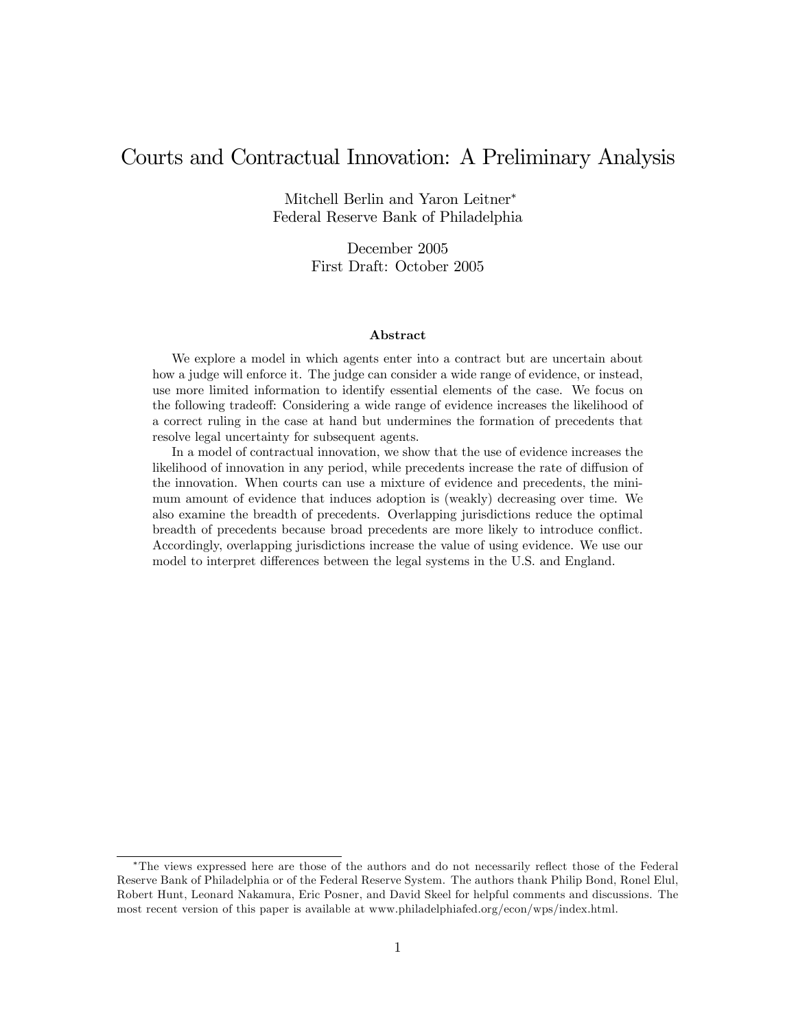# Courts and Contractual Innovation: A Preliminary Analysis

Mitchell Berlin and Yaron Leitner Federal Reserve Bank of Philadelphia

> December 2005 First Draft: October 2005

#### Abstract

We explore a model in which agents enter into a contract but are uncertain about how a judge will enforce it. The judge can consider a wide range of evidence, or instead, use more limited information to identify essential elements of the case. We focus on the following tradeoff: Considering a wide range of evidence increases the likelihood of a correct ruling in the case at hand but undermines the formation of precedents that resolve legal uncertainty for subsequent agents.

In a model of contractual innovation, we show that the use of evidence increases the likelihood of innovation in any period, while precedents increase the rate of diffusion of the innovation. When courts can use a mixture of evidence and precedents, the minimum amount of evidence that induces adoption is (weakly) decreasing over time. We also examine the breadth of precedents. Overlapping jurisdictions reduce the optimal breadth of precedents because broad precedents are more likely to introduce conflict. Accordingly, overlapping jurisdictions increase the value of using evidence. We use our model to interpret differences between the legal systems in the U.S. and England.

<sup>\*</sup>The views expressed here are those of the authors and do not necessarily reflect those of the Federal Reserve Bank of Philadelphia or of the Federal Reserve System. The authors thank Philip Bond, Ronel Elul, Robert Hunt, Leonard Nakamura, Eric Posner, and David Skeel for helpful comments and discussions. The most recent version of this paper is available at www.philadelphiafed.org/econ/wps/index.html.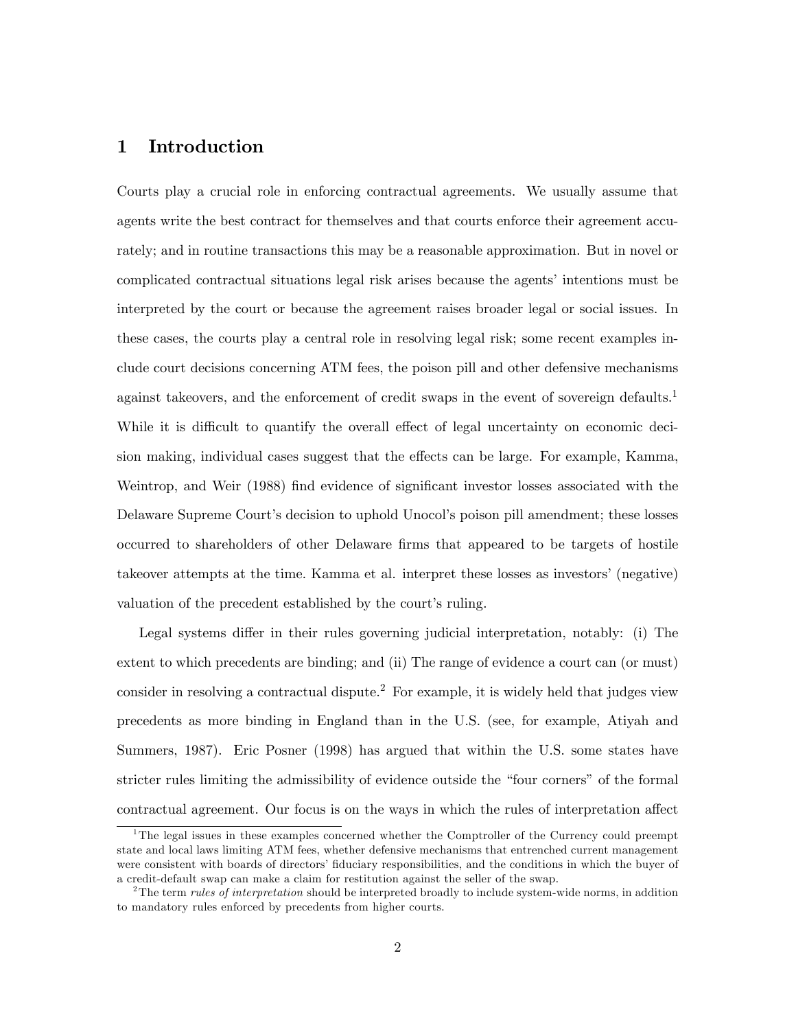# 1 Introduction

Courts play a crucial role in enforcing contractual agreements. We usually assume that agents write the best contract for themselves and that courts enforce their agreement accurately; and in routine transactions this may be a reasonable approximation. But in novel or complicated contractual situations legal risk arises because the agents' intentions must be interpreted by the court or because the agreement raises broader legal or social issues. In these cases, the courts play a central role in resolving legal risk; some recent examples include court decisions concerning ATM fees, the poison pill and other defensive mechanisms against takeovers, and the enforcement of credit swaps in the event of sovereign defaults.<sup>1</sup> While it is difficult to quantify the overall effect of legal uncertainty on economic decision making, individual cases suggest that the effects can be large. For example, Kamma, Weintrop, and Weir (1988) find evidence of significant investor losses associated with the Delaware Supreme Court's decision to uphold Unocol's poison pill amendment; these losses occurred to shareholders of other Delaware firms that appeared to be targets of hostile takeover attempts at the time. Kamma et al. interpret these losses as investors' (negative) valuation of the precedent established by the court's ruling.

Legal systems differ in their rules governing judicial interpretation, notably: (i) The extent to which precedents are binding; and (ii) The range of evidence a court can (or must) consider in resolving a contractual dispute.<sup>2</sup> For example, it is widely held that judges view precedents as more binding in England than in the U.S. (see, for example, Atiyah and Summers, 1987). Eric Posner (1998) has argued that within the U.S. some states have stricter rules limiting the admissibility of evidence outside the "four corners" of the formal contractual agreement. Our focus is on the ways in which the rules of interpretation affect

<sup>&</sup>lt;sup>1</sup>The legal issues in these examples concerned whether the Comptroller of the Currency could preempt state and local laws limiting ATM fees, whether defensive mechanisms that entrenched current management were consistent with boards of directors' fiduciary responsibilities, and the conditions in which the buyer of a credit-default swap can make a claim for restitution against the seller of the swap.

<sup>&</sup>lt;sup>2</sup>The term *rules of interpretation* should be interpreted broadly to include system-wide norms, in addition to mandatory rules enforced by precedents from higher courts.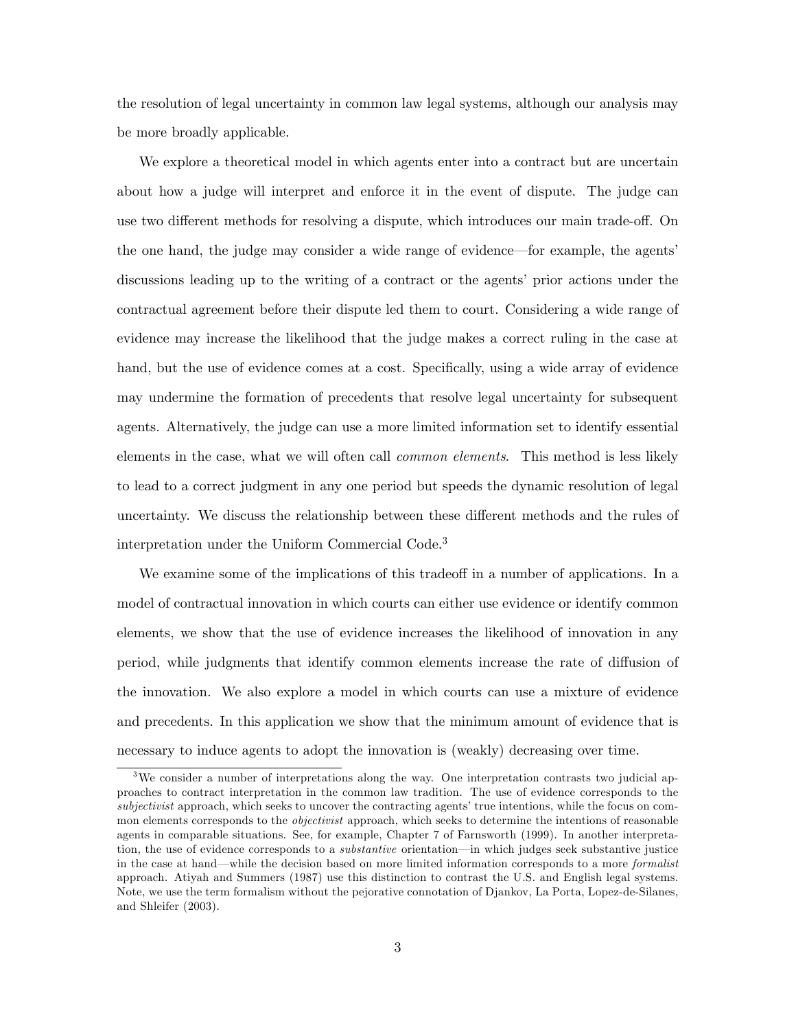the resolution of legal uncertainty in common law legal systems, although our analysis may be more broadly applicable.

We explore a theoretical model in which agents enter into a contract but are uncertain about how a judge will interpret and enforce it in the event of dispute. The judge can use two different methods for resolving a dispute, which introduces our main trade-off. On the one hand, the judge may consider a wide range of evidence—for example, the agents' discussions leading up to the writing of a contract or the agents' prior actions under the contractual agreement before their dispute led them to court. Considering a wide range of evidence may increase the likelihood that the judge makes a correct ruling in the case at hand, but the use of evidence comes at a cost. Specifically, using a wide array of evidence may undermine the formation of precedents that resolve legal uncertainty for subsequent agents. Alternatively, the judge can use a more limited information set to identify essential elements in the case, what we will often call *common elements*. This method is less likely to lead to a correct judgment in any one period but speeds the dynamic resolution of legal uncertainty. We discuss the relationship between these different methods and the rules of interpretation under the Uniform Commercial Code.<sup>3</sup>

We examine some of the implications of this tradeoff in a number of applications. In a model of contractual innovation in which courts can either use evidence or identify common elements, we show that the use of evidence increases the likelihood of innovation in any period, while judgments that identify common elements increase the rate of diffusion of the innovation. We also explore a model in which courts can use a mixture of evidence and precedents. In this application we show that the minimum amount of evidence that is necessary to induce agents to adopt the innovation is (weakly) decreasing over time.

<sup>&</sup>lt;sup>3</sup>We consider a number of interpretations along the way. One interpretation contrasts two judicial approaches to contract interpretation in the common law tradition. The use of evidence corresponds to the subjectivist approach, which seeks to uncover the contracting agents' true intentions, while the focus on common elements corresponds to the *objectivist* approach, which seeks to determine the intentions of reasonable agents in comparable situations. See, for example, Chapter 7 of Farnsworth (1999). In another interpretation, the use of evidence corresponds to a *substantive* orientation—in which judges seek substantive justice in the case at hand—while the decision based on more limited information corresponds to a more *formalist* approach. Atiyah and Summers (1987) use this distinction to contrast the U.S. and English legal systems. Note, we use the term formalism without the pejorative connotation of Djankov, La Porta, Lopez-de-Silanes, and Shleifer (2003).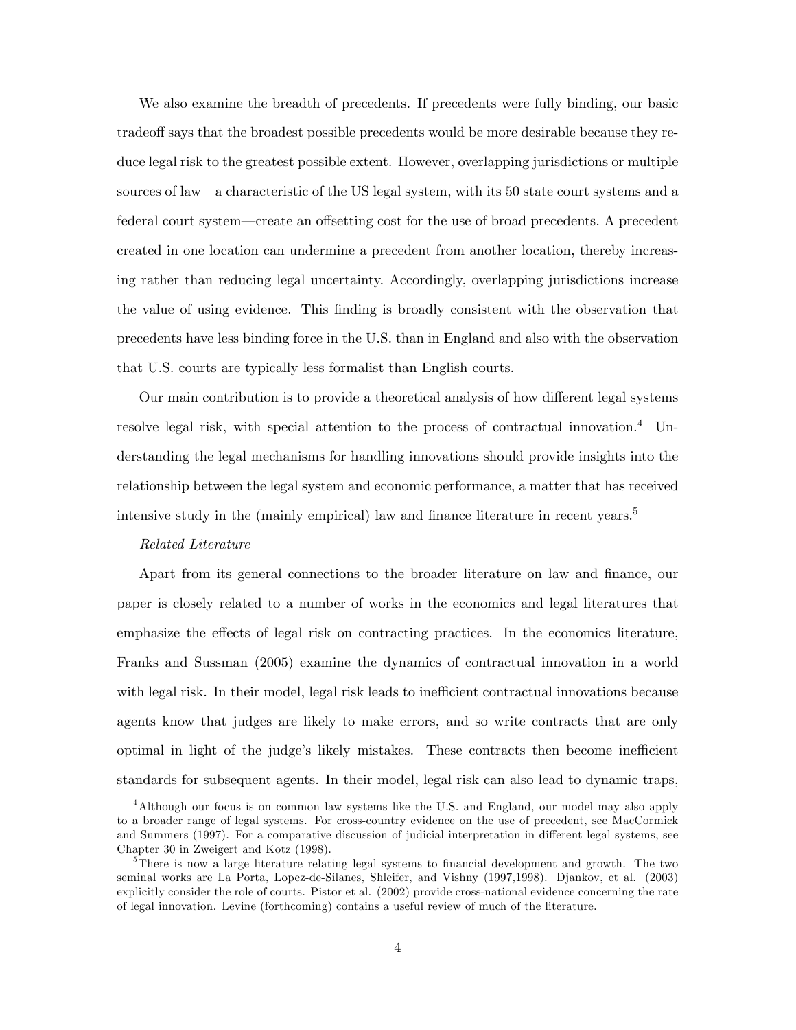We also examine the breadth of precedents. If precedents were fully binding, our basic tradeoff says that the broadest possible precedents would be more desirable because they reduce legal risk to the greatest possible extent. However, overlapping jurisdictions or multiple sources of law—a characteristic of the US legal system, with its 50 state court systems and a federal court system—create an offsetting cost for the use of broad precedents. A precedent created in one location can undermine a precedent from another location, thereby increasing rather than reducing legal uncertainty. Accordingly, overlapping jurisdictions increase the value of using evidence. This finding is broadly consistent with the observation that precedents have less binding force in the U.S. than in England and also with the observation that U.S. courts are typically less formalist than English courts.

Our main contribution is to provide a theoretical analysis of how different legal systems resolve legal risk, with special attention to the process of contractual innovation.<sup>4</sup> Understanding the legal mechanisms for handling innovations should provide insights into the relationship between the legal system and economic performance, a matter that has received intensive study in the (mainly empirical) law and finance literature in recent years.<sup>5</sup>

#### Related Literature

Apart from its general connections to the broader literature on law and finance, our paper is closely related to a number of works in the economics and legal literatures that emphasize the effects of legal risk on contracting practices. In the economics literature, Franks and Sussman (2005) examine the dynamics of contractual innovation in a world with legal risk. In their model, legal risk leads to inefficient contractual innovations because agents know that judges are likely to make errors, and so write contracts that are only optimal in light of the judge's likely mistakes. These contracts then become inefficient standards for subsequent agents. In their model, legal risk can also lead to dynamic traps,

<sup>&</sup>lt;sup>4</sup>Although our focus is on common law systems like the U.S. and England, our model may also apply to a broader range of legal systems. For cross-country evidence on the use of precedent, see MacCormick and Summers (1997). For a comparative discussion of judicial interpretation in different legal systems, see Chapter 30 in Zweigert and Kotz (1998).

<sup>&</sup>lt;sup>5</sup>There is now a large literature relating legal systems to financial development and growth. The two seminal works are La Porta, Lopez-de-Silanes, Shleifer, and Vishny (1997,1998). Djankov, et al. (2003) explicitly consider the role of courts. Pistor et al. (2002) provide cross-national evidence concerning the rate of legal innovation. Levine (forthcoming) contains a useful review of much of the literature.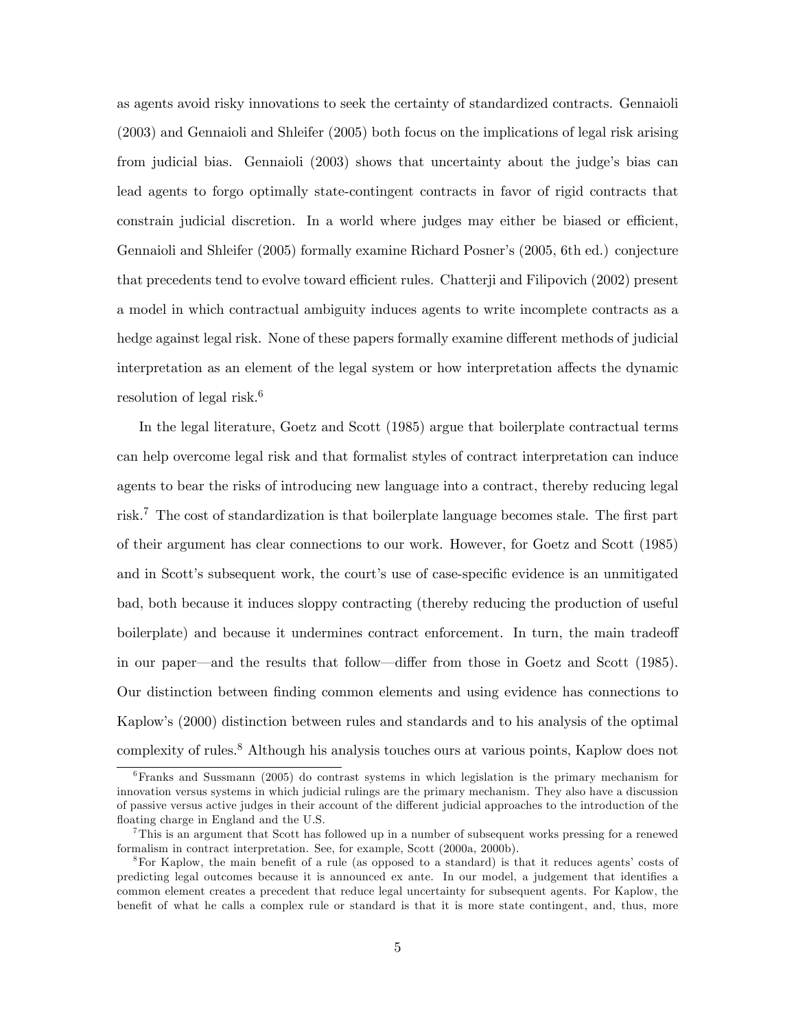as agents avoid risky innovations to seek the certainty of standardized contracts. Gennaioli (2003) and Gennaioli and Shleifer (2005) both focus on the implications of legal risk arising from judicial bias. Gennaioli (2003) shows that uncertainty about the judge's bias can lead agents to forgo optimally state-contingent contracts in favor of rigid contracts that constrain judicial discretion. In a world where judges may either be biased or efficient, Gennaioli and Shleifer (2005) formally examine Richard Posner's (2005, 6th ed.) conjecture that precedents tend to evolve toward efficient rules. Chatterji and Filipovich (2002) present a model in which contractual ambiguity induces agents to write incomplete contracts as a hedge against legal risk. None of these papers formally examine different methods of judicial interpretation as an element of the legal system or how interpretation affects the dynamic resolution of legal risk.<sup>6</sup>

In the legal literature, Goetz and Scott (1985) argue that boilerplate contractual terms can help overcome legal risk and that formalist styles of contract interpretation can induce agents to bear the risks of introducing new language into a contract, thereby reducing legal risk.<sup>7</sup> The cost of standardization is that boilerplate language becomes stale. The first part of their argument has clear connections to our work. However, for Goetz and Scott (1985) and in Scott's subsequent work, the court's use of case-specific evidence is an unmitigated bad, both because it induces sloppy contracting (thereby reducing the production of useful boilerplate) and because it undermines contract enforcement. In turn, the main tradeoff in our paper—and the results that follow—differ from those in Goetz and Scott (1985). Our distinction between Önding common elements and using evidence has connections to Kaplowís (2000) distinction between rules and standards and to his analysis of the optimal complexity of rules.<sup>8</sup> Although his analysis touches ours at various points, Kaplow does not

<sup>6</sup>Franks and Sussmann (2005) do contrast systems in which legislation is the primary mechanism for innovation versus systems in which judicial rulings are the primary mechanism. They also have a discussion of passive versus active judges in their account of the different judicial approaches to the introduction of the floating charge in England and the U.S.

<sup>7</sup>This is an argument that Scott has followed up in a number of subsequent works pressing for a renewed formalism in contract interpretation. See, for example, Scott (2000a, 2000b).

<sup>&</sup>lt;sup>8</sup>For Kaplow, the main benefit of a rule (as opposed to a standard) is that it reduces agents' costs of predicting legal outcomes because it is announced ex ante. In our model, a judgement that identifies a common element creates a precedent that reduce legal uncertainty for subsequent agents. For Kaplow, the benefit of what he calls a complex rule or standard is that it is more state contingent, and, thus, more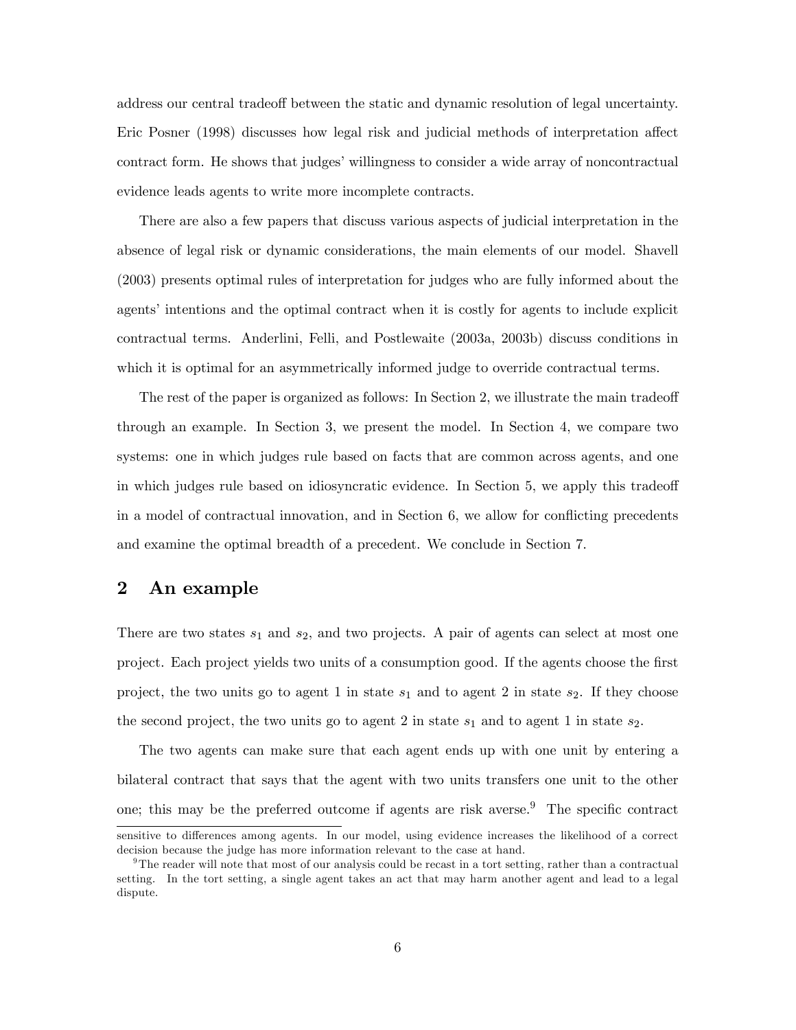address our central tradeoff between the static and dynamic resolution of legal uncertainty. Eric Posner (1998) discusses how legal risk and judicial methods of interpretation affect contract form. He shows that judges' willingness to consider a wide array of noncontractual evidence leads agents to write more incomplete contracts.

There are also a few papers that discuss various aspects of judicial interpretation in the absence of legal risk or dynamic considerations, the main elements of our model. Shavell (2003) presents optimal rules of interpretation for judges who are fully informed about the agents' intentions and the optimal contract when it is costly for agents to include explicit contractual terms. Anderlini, Felli, and Postlewaite (2003a, 2003b) discuss conditions in which it is optimal for an asymmetrically informed judge to override contractual terms.

The rest of the paper is organized as follows: In Section 2, we illustrate the main tradeoff through an example. In Section 3, we present the model. In Section 4, we compare two systems: one in which judges rule based on facts that are common across agents, and one in which judges rule based on idiosyncratic evidence. In Section 5, we apply this tradeoff in a model of contractual innovation, and in Section 6, we allow for conflicting precedents and examine the optimal breadth of a precedent. We conclude in Section 7.

# 2 An example

There are two states  $s_1$  and  $s_2$ , and two projects. A pair of agents can select at most one project. Each project yields two units of a consumption good. If the agents choose the first project, the two units go to agent 1 in state  $s_1$  and to agent 2 in state  $s_2$ . If they choose the second project, the two units go to agent 2 in state  $s_1$  and to agent 1 in state  $s_2$ .

The two agents can make sure that each agent ends up with one unit by entering a bilateral contract that says that the agent with two units transfers one unit to the other one; this may be the preferred outcome if agents are risk averse. $9$  The specific contract

sensitive to differences among agents. In our model, using evidence increases the likelihood of a correct decision because the judge has more information relevant to the case at hand.

<sup>&</sup>lt;sup>9</sup>The reader will note that most of our analysis could be recast in a tort setting, rather than a contractual setting. In the tort setting, a single agent takes an act that may harm another agent and lead to a legal dispute.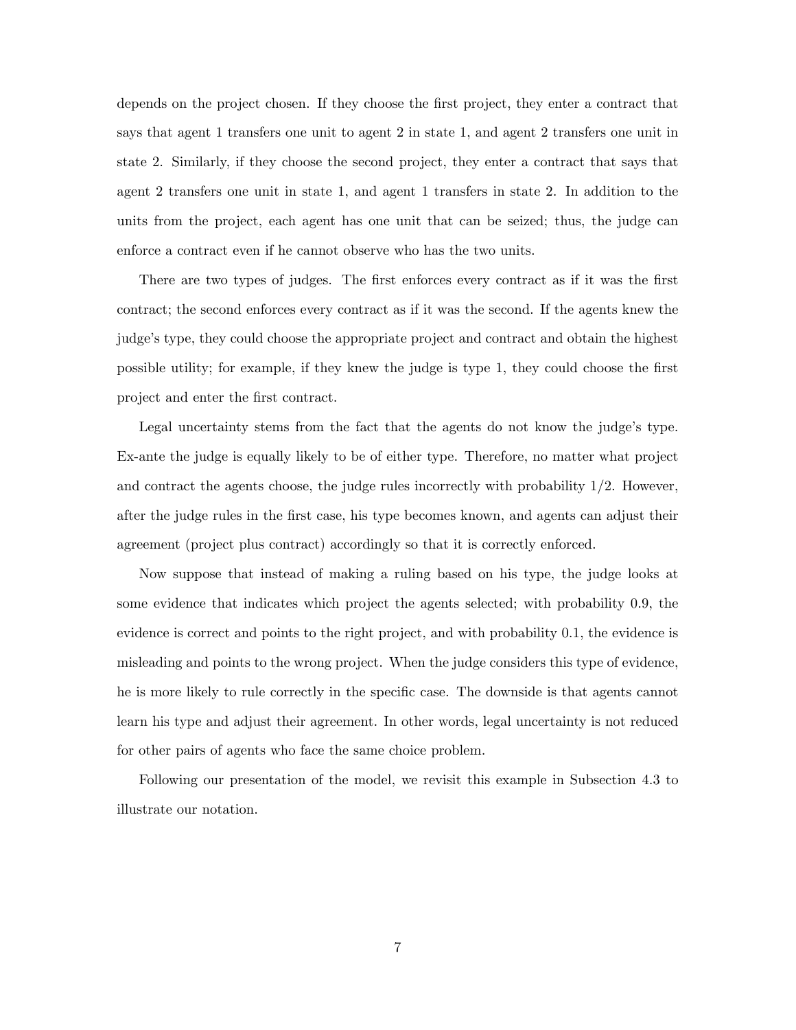depends on the project chosen. If they choose the first project, they enter a contract that says that agent 1 transfers one unit to agent 2 in state 1, and agent 2 transfers one unit in state 2. Similarly, if they choose the second project, they enter a contract that says that agent 2 transfers one unit in state 1, and agent 1 transfers in state 2. In addition to the units from the project, each agent has one unit that can be seized; thus, the judge can enforce a contract even if he cannot observe who has the two units.

There are two types of judges. The first enforces every contract as if it was the first contract; the second enforces every contract as if it was the second. If the agents knew the judge's type, they could choose the appropriate project and contract and obtain the highest possible utility; for example, if they knew the judge is type 1, they could choose the Örst project and enter the Örst contract.

Legal uncertainty stems from the fact that the agents do not know the judge's type. Ex-ante the judge is equally likely to be of either type. Therefore, no matter what project and contract the agents choose, the judge rules incorrectly with probability  $1/2$ . However, after the judge rules in the Örst case, his type becomes known, and agents can adjust their agreement (project plus contract) accordingly so that it is correctly enforced.

Now suppose that instead of making a ruling based on his type, the judge looks at some evidence that indicates which project the agents selected; with probability 0.9, the evidence is correct and points to the right project, and with probability 0.1, the evidence is misleading and points to the wrong project. When the judge considers this type of evidence, he is more likely to rule correctly in the specific case. The downside is that agents cannot learn his type and adjust their agreement. In other words, legal uncertainty is not reduced for other pairs of agents who face the same choice problem.

Following our presentation of the model, we revisit this example in Subsection 4.3 to illustrate our notation.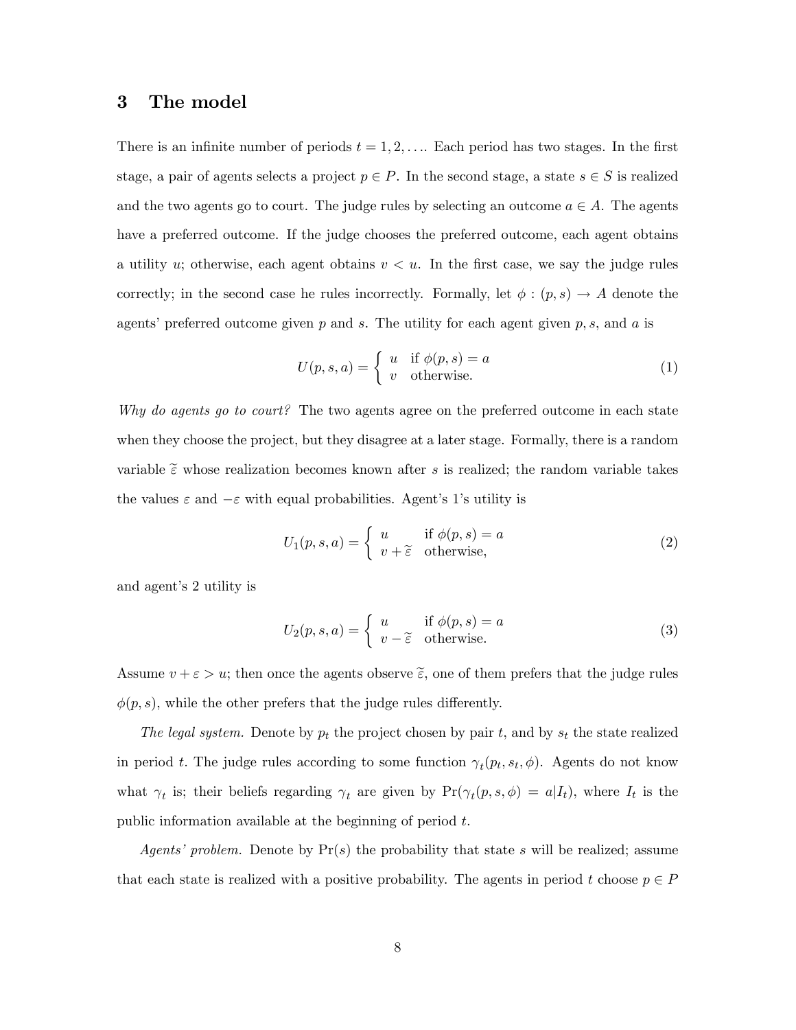### 3 The model

There is an infinite number of periods  $t = 1, 2, \ldots$  Each period has two stages. In the first stage, a pair of agents selects a project  $p \in P$ . In the second stage, a state  $s \in S$  is realized and the two agents go to court. The judge rules by selecting an outcome  $a \in A$ . The agents have a preferred outcome. If the judge chooses the preferred outcome, each agent obtains a utility u; otherwise, each agent obtains  $v < u$ . In the first case, we say the judge rules correctly; in the second case he rules incorrectly. Formally, let  $\phi : (p, s) \to A$  denote the agents' preferred outcome given p and s. The utility for each agent given p, s, and a is

$$
U(p, s, a) = \begin{cases} u & \text{if } \phi(p, s) = a \\ v & \text{otherwise.} \end{cases}
$$
 (1)

Why do agents go to court? The two agents agree on the preferred outcome in each state when they choose the project, but they disagree at a later stage. Formally, there is a random variable  $\tilde{\epsilon}$  whose realization becomes known after s is realized; the random variable takes the values  $\varepsilon$  and  $-\varepsilon$  with equal probabilities. Agent's 1's utility is

$$
U_1(p,s,a) = \begin{cases} u & \text{if } \phi(p,s) = a \\ v + \tilde{\varepsilon} & \text{otherwise,} \end{cases}
$$
 (2)

and agent's 2 utility is

$$
U_2(p,s,a) = \begin{cases} u & \text{if } \phi(p,s) = a \\ v - \tilde{\epsilon} & \text{otherwise.} \end{cases}
$$
 (3)

Assume  $v + \varepsilon > u$ ; then once the agents observe  $\tilde{\varepsilon}$ , one of them prefers that the judge rules  $\phi(p, s)$ , while the other prefers that the judge rules differently.

The legal system. Denote by  $p_t$  the project chosen by pair t, and by  $s_t$  the state realized in period t. The judge rules according to some function  $\gamma_t(p_t, s_t, \phi)$ . Agents do not know what  $\gamma_t$  is; their beliefs regarding  $\gamma_t$  are given by  $Pr(\gamma_t(p, s, \phi) = a | I_t)$ , where  $I_t$  is the public information available at the beginning of period t.

*Agents' problem.* Denote by  $Pr(s)$  the probability that state s will be realized; assume that each state is realized with a positive probability. The agents in period t choose  $p \in P$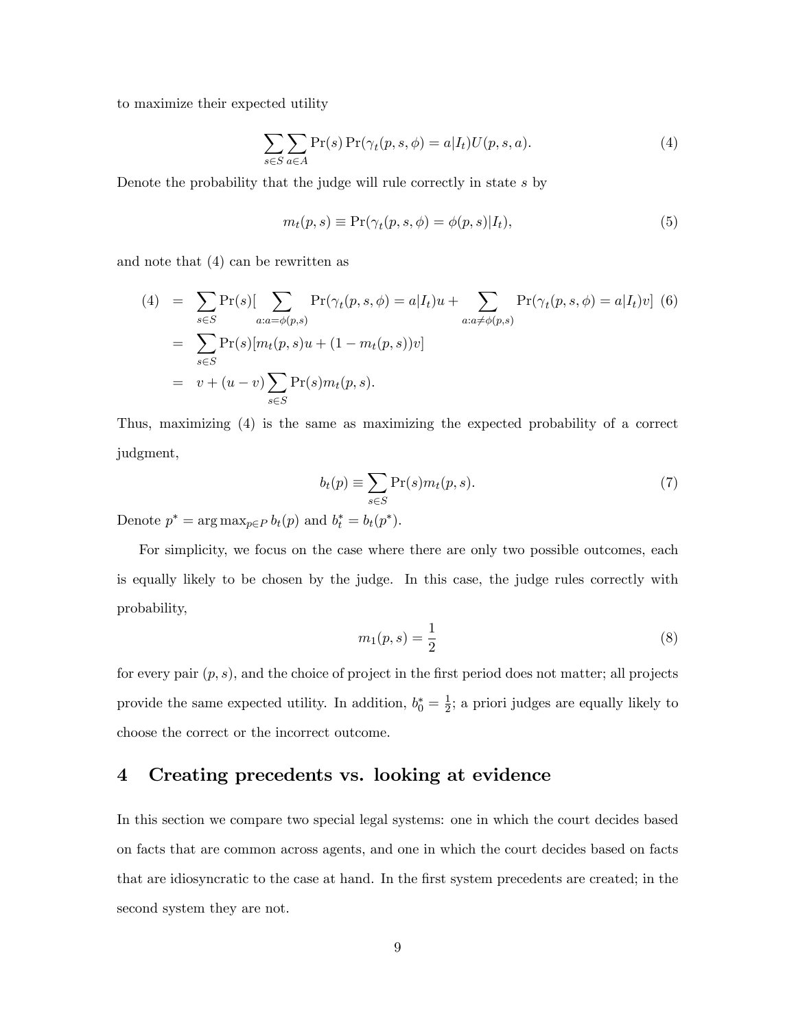to maximize their expected utility

$$
\sum_{s \in S} \sum_{a \in A} \Pr(s) \Pr(\gamma_t(p, s, \phi) = a | I_t) U(p, s, a).
$$
\n(4)

Denote the probability that the judge will rule correctly in state s by

$$
m_t(p, s) \equiv \Pr(\gamma_t(p, s, \phi) = \phi(p, s) | I_t), \tag{5}
$$

and note that (4) can be rewritten as

(4) = 
$$
\sum_{s \in S} \Pr(s) [\sum_{a:a = \phi(p,s)} \Pr(\gamma_t(p, s, \phi) = a | I_t) u + \sum_{a:a \neq \phi(p,s)} \Pr(\gamma_t(p, s, \phi) = a | I_t) v]
$$
 (6)  
\n=  $\sum_{s \in S} \Pr(s) [m_t(p, s)u + (1 - m_t(p, s))v]$   
\n=  $v + (u - v) \sum_{s \in S} \Pr(s) m_t(p, s).$ 

Thus, maximizing (4) is the same as maximizing the expected probability of a correct judgment,

$$
b_t(p) \equiv \sum_{s \in S} \Pr(s) m_t(p, s). \tag{7}
$$

Denote  $p^* = \arg \max_{p \in P} b_t(p)$  and  $b_t^* = b_t(p^*).$ 

For simplicity, we focus on the case where there are only two possible outcomes, each is equally likely to be chosen by the judge. In this case, the judge rules correctly with probability,

$$
m_1(p,s) = \frac{1}{2} \tag{8}
$$

for every pair  $(p, s)$ , and the choice of project in the first period does not matter; all projects provide the same expected utility. In addition,  $b_0^* = \frac{1}{2}$  $\frac{1}{2}$ ; a priori judges are equally likely to choose the correct or the incorrect outcome.

# 4 Creating precedents vs. looking at evidence

In this section we compare two special legal systems: one in which the court decides based on facts that are common across agents, and one in which the court decides based on facts that are idiosyncratic to the case at hand. In the first system precedents are created; in the second system they are not.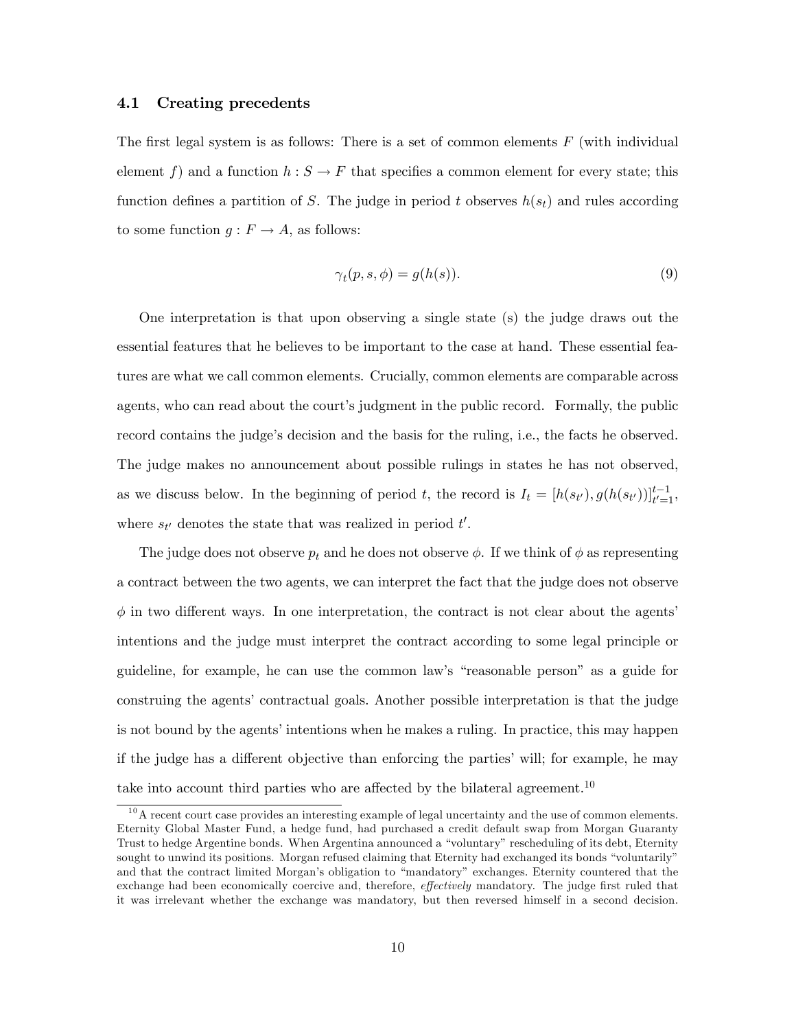### 4.1 Creating precedents

The first legal system is as follows: There is a set of common elements  $F$  (with individual element f) and a function  $h : S \to F$  that specifies a common element for every state; this function defines a partition of S. The judge in period t observes  $h(s_t)$  and rules according to some function  $g: F \to A$ , as follows:

$$
\gamma_t(p, s, \phi) = g(h(s)).\tag{9}
$$

One interpretation is that upon observing a single state (s) the judge draws out the essential features that he believes to be important to the case at hand. These essential features are what we call common elements. Crucially, common elements are comparable across agents, who can read about the court's judgment in the public record. Formally, the public record contains the judge's decision and the basis for the ruling, i.e., the facts he observed. The judge makes no announcement about possible rulings in states he has not observed, as we discuss below. In the beginning of period t, the record is  $I_t = [h(s_{t}), g(h(s_{t}))]_{t=1}^{t-1}$ , where  $s_{t'}$  denotes the state that was realized in period  $t'$ .

The judge does not observe  $p_t$  and he does not observe  $\phi$ . If we think of  $\phi$  as representing a contract between the two agents, we can interpret the fact that the judge does not observe  $\phi$  in two different ways. In one interpretation, the contract is not clear about the agents' intentions and the judge must interpret the contract according to some legal principle or guideline, for example, he can use the common law's "reasonable person" as a guide for construing the agents' contractual goals. Another possible interpretation is that the judge is not bound by the agents' intentions when he makes a ruling. In practice, this may happen if the judge has a different objective than enforcing the parties' will; for example, he may take into account third parties who are affected by the bilateral agreement.<sup>10</sup>

 $10$ A recent court case provides an interesting example of legal uncertainty and the use of common elements. Eternity Global Master Fund, a hedge fund, had purchased a credit default swap from Morgan Guaranty Trust to hedge Argentine bonds. When Argentina announced a "voluntary" rescheduling of its debt, Eternity sought to unwind its positions. Morgan refused claiming that Eternity had exchanged its bonds "voluntarily" and that the contract limited Morgan's obligation to "mandatory" exchanges. Eternity countered that the exchange had been economically coercive and, therefore, *effectively* mandatory. The judge first ruled that it was irrelevant whether the exchange was mandatory, but then reversed himself in a second decision.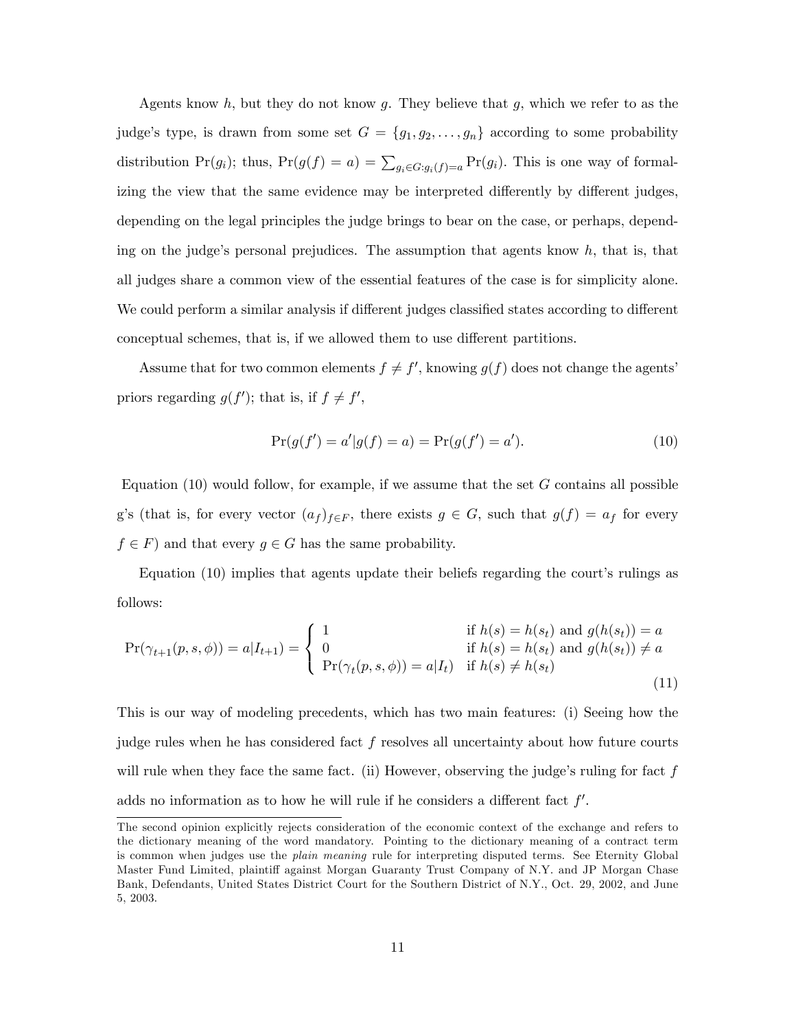Agents know h, but they do not know g. They believe that g, which we refer to as the judge's type, is drawn from some set  $G = \{g_1, g_2, \ldots, g_n\}$  according to some probability distribution  $Pr(g_i)$ ; thus,  $Pr(g(f) = a) = \sum_{g_i \in G: g_i(f) = a} Pr(g_i)$ . This is one way of formalizing the view that the same evidence may be interpreted differently by different judges, depending on the legal principles the judge brings to bear on the case, or perhaps, depending on the judge's personal prejudices. The assumption that agents know  $h$ , that is, that all judges share a common view of the essential features of the case is for simplicity alone. We could perform a similar analysis if different judges classified states according to different conceptual schemes, that is, if we allowed them to use different partitions.

Assume that for two common elements  $f \neq f'$ , knowing  $g(f)$  does not change the agents' priors regarding  $g(f')$ ; that is, if  $f \neq f'$ ,

$$
Pr(g(f') = a'|g(f) = a) = Pr(g(f') = a').
$$
\n(10)

Equation  $(10)$  would follow, for example, if we assume that the set G contains all possible g's (that is, for every vector  $(a_f)_{f\in F}$ , there exists  $g \in G$ , such that  $g(f) = a_f$  for every  $f \in F$ ) and that every  $g \in G$  has the same probability.

Equation  $(10)$  implies that agents update their beliefs regarding the court's rulings as follows:

$$
\Pr(\gamma_{t+1}(p, s, \phi)) = a | I_{t+1}) = \begin{cases} 1 & \text{if } h(s) = h(s_t) \text{ and } g(h(s_t)) = a \\ 0 & \text{if } h(s) = h(s_t) \text{ and } g(h(s_t)) \neq a \\ \Pr(\gamma_t(p, s, \phi)) = a | I_t) & \text{if } h(s) \neq h(s_t) \end{cases}
$$
(11)

This is our way of modeling precedents, which has two main features: (i) Seeing how the judge rules when he has considered fact  $f$  resolves all uncertainty about how future courts will rule when they face the same fact. (ii) However, observing the judge's ruling for fact  $f$ adds no information as to how he will rule if he considers a different fact  $f'$ .

The second opinion explicitly rejects consideration of the economic context of the exchange and refers to the dictionary meaning of the word mandatory. Pointing to the dictionary meaning of a contract term is common when judges use the *plain meaning* rule for interpreting disputed terms. See Eternity Global Master Fund Limited, plaintiff against Morgan Guaranty Trust Company of N.Y. and JP Morgan Chase Bank, Defendants, United States District Court for the Southern District of N.Y., Oct. 29, 2002, and June 5, 2003.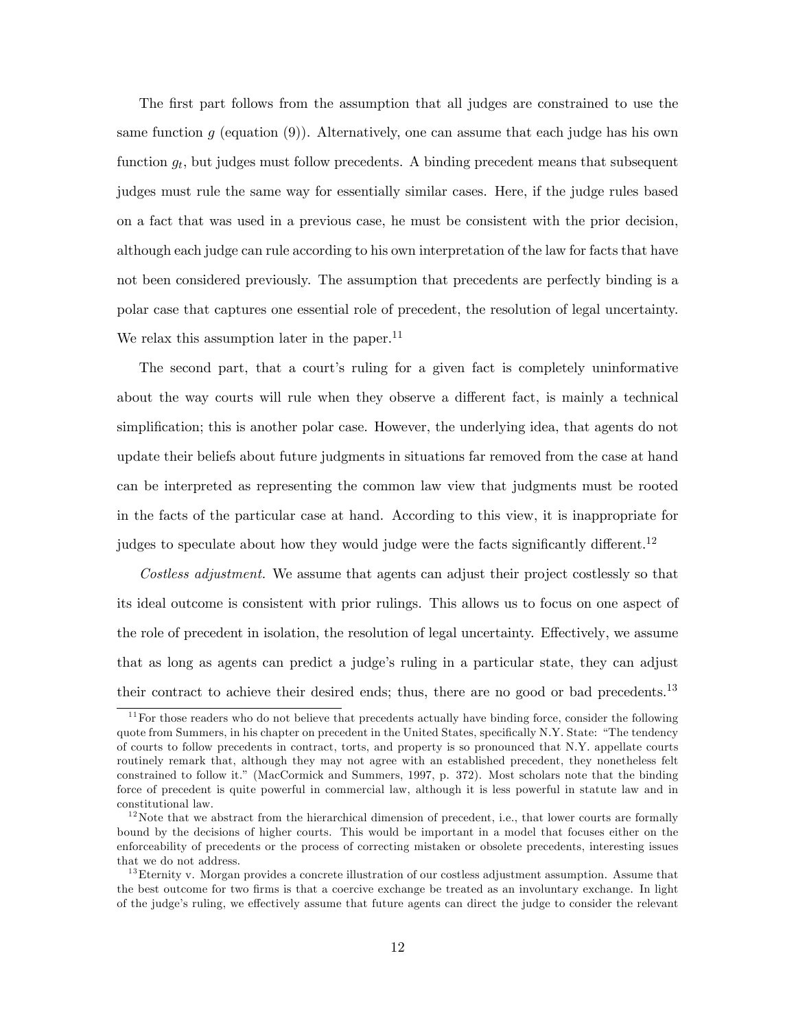The first part follows from the assumption that all judges are constrained to use the same function q (equation (9)). Alternatively, one can assume that each judge has his own function  $g_t$ , but judges must follow precedents. A binding precedent means that subsequent judges must rule the same way for essentially similar cases. Here, if the judge rules based on a fact that was used in a previous case, he must be consistent with the prior decision, although each judge can rule according to his own interpretation of the law for facts that have not been considered previously. The assumption that precedents are perfectly binding is a polar case that captures one essential role of precedent, the resolution of legal uncertainty. We relax this assumption later in the paper.<sup>11</sup>

The second part, that a court's ruling for a given fact is completely uninformative about the way courts will rule when they observe a different fact, is mainly a technical simplification; this is another polar case. However, the underlying idea, that agents do not update their beliefs about future judgments in situations far removed from the case at hand can be interpreted as representing the common law view that judgments must be rooted in the facts of the particular case at hand. According to this view, it is inappropriate for judges to speculate about how they would judge were the facts significantly different.<sup>12</sup>

Costless adjustment. We assume that agents can adjust their project costlessly so that its ideal outcome is consistent with prior rulings. This allows us to focus on one aspect of the role of precedent in isolation, the resolution of legal uncertainty. Effectively, we assume that as long as agents can predict a judgeís ruling in a particular state, they can adjust their contract to achieve their desired ends; thus, there are no good or bad precedents.<sup>13</sup>

 $11$  For those readers who do not believe that precedents actually have binding force, consider the following quote from Summers, in his chapter on precedent in the United States, specifically N.Y. State: "The tendency of courts to follow precedents in contract, torts, and property is so pronounced that N.Y. appellate courts routinely remark that, although they may not agree with an established precedent, they nonetheless felt constrained to follow it.î (MacCormick and Summers, 1997, p. 372). Most scholars note that the binding force of precedent is quite powerful in commercial law, although it is less powerful in statute law and in constitutional law.

 $12$ Note that we abstract from the hierarchical dimension of precedent, i.e., that lower courts are formally bound by the decisions of higher courts. This would be important in a model that focuses either on the enforceability of precedents or the process of correcting mistaken or obsolete precedents, interesting issues that we do not address.

<sup>&</sup>lt;sup>13</sup>Eternity v. Morgan provides a concrete illustration of our costless adjustment assumption. Assume that the best outcome for two Örms is that a coercive exchange be treated as an involuntary exchange. In light of the judge's ruling, we effectively assume that future agents can direct the judge to consider the relevant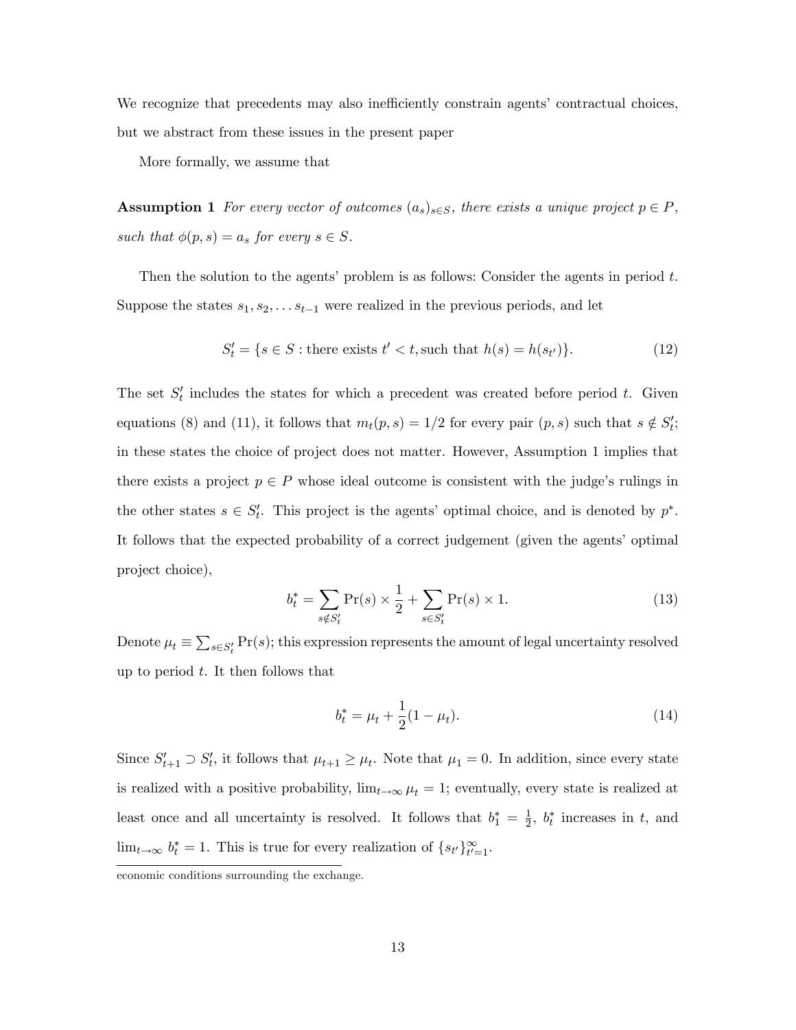We recognize that precedents may also inefficiently constrain agents' contractual choices, but we abstract from these issues in the present paper

More formally, we assume that

**Assumption 1** For every vector of outcomes  $(a_s)_{s \in S}$ , there exists a unique project  $p \in P$ , such that  $\phi(p, s) = a_s$  for every  $s \in S$ .

Then the solution to the agents' problem is as follows: Consider the agents in period  $t$ . Suppose the states  $s_1, s_2, \ldots s_{t-1}$  were realized in the previous periods, and let

$$
S'_t = \{ s \in S : \text{there exists } t' < t, \text{such that } h(s) = h(s_{t'}) \}. \tag{12}
$$

The set  $S_t'$  includes the states for which a precedent was created before period t. Given equations (8) and (11), it follows that  $m_t(p, s) = 1/2$  for every pair  $(p, s)$  such that  $s \notin S'_t$ ; in these states the choice of project does not matter. However, Assumption 1 implies that there exists a project  $p \in P$  whose ideal outcome is consistent with the judge's rulings in the other states  $s \in S_t'$ . This project is the agents' optimal choice, and is denoted by  $p^*$ . It follows that the expected probability of a correct judgement (given the agents' optimal project choice),

$$
b_t^* = \sum_{s \notin S_t'} \Pr(s) \times \frac{1}{2} + \sum_{s \in S_t'} \Pr(s) \times 1.
$$
 (13)

Denote  $\mu_t \equiv \sum_{s \in S'_t} \Pr(s)$ ; this expression represents the amount of legal uncertainty resolved up to period  $t$ . It then follows that

$$
b_t^* = \mu_t + \frac{1}{2}(1 - \mu_t). \tag{14}
$$

Since  $S'_{t+1} \supset S'_{t}$ , it follows that  $\mu_{t+1} \ge \mu_t$ . Note that  $\mu_1 = 0$ . In addition, since every state is realized with a positive probability,  $\lim_{t \to \infty} \mu_t = 1$ ; eventually, every state is realized at least once and all uncertainty is resolved. It follows that  $b_1^* = \frac{1}{2}$  $\frac{1}{2}$ ,  $b_t^*$  increases in t, and  $\lim_{t\to\infty} b_t^* = 1$ . This is true for every realization of  $\{s_{t'}\}_{t'=1}^{\infty}$ .

economic conditions surrounding the exchange.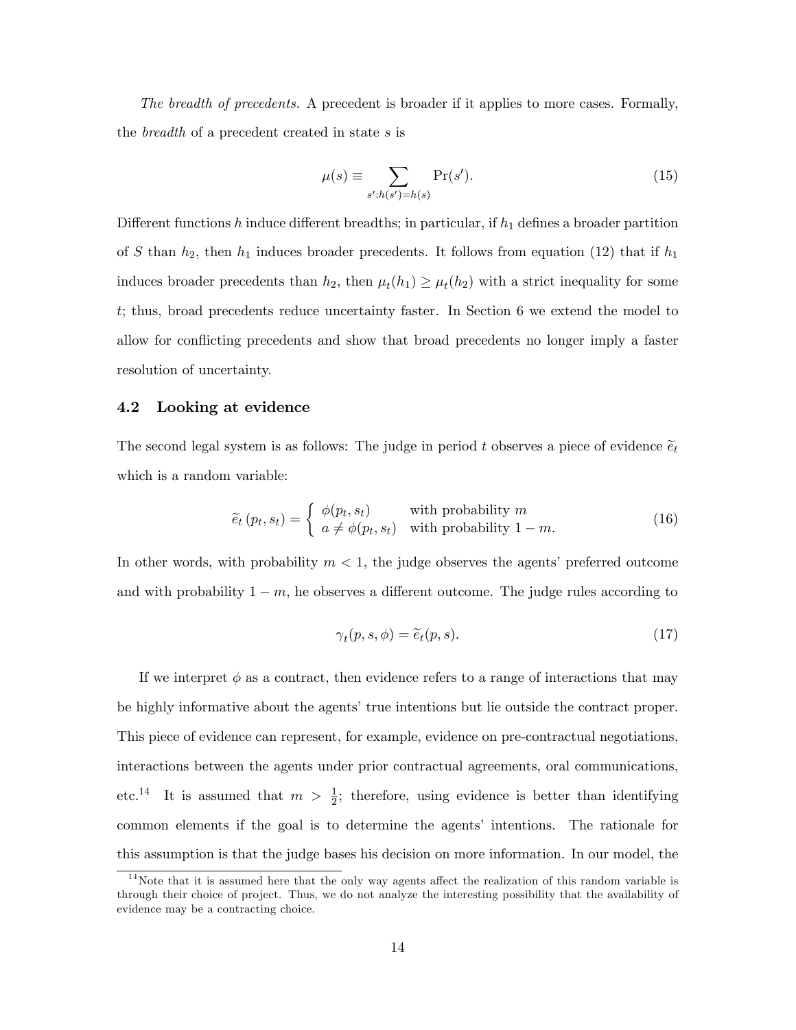The breadth of precedents. A precedent is broader if it applies to more cases. Formally, the breadth of a precedent created in state s is

$$
\mu(s) \equiv \sum_{s':h(s')=h(s)} \Pr(s'). \tag{15}
$$

Different functions h induce different breadths; in particular, if  $h_1$  defines a broader partition of S than  $h_2$ , then  $h_1$  induces broader precedents. It follows from equation (12) that if  $h_1$ induces broader precedents than  $h_2$ , then  $\mu_t(h_1) \geq \mu_t(h_2)$  with a strict inequality for some t; thus, broad precedents reduce uncertainty faster. In Section 6 we extend the model to allow for conflicting precedents and show that broad precedents no longer imply a faster resolution of uncertainty.

### 4.2 Looking at evidence

The second legal system is as follows: The judge in period t observes a piece of evidence  $\tilde{e}_t$ which is a random variable:

$$
\widetilde{e}_t(p_t, s_t) = \begin{cases} \phi(p_t, s_t) & \text{with probability } m\\ a \neq \phi(p_t, s_t) & \text{with probability } 1 - m. \end{cases} \tag{16}
$$

In other words, with probability  $m < 1$ , the judge observes the agents' preferred outcome and with probability  $1 - m$ , he observes a different outcome. The judge rules according to

$$
\gamma_t(p, s, \phi) = \tilde{e}_t(p, s). \tag{17}
$$

If we interpret  $\phi$  as a contract, then evidence refers to a range of interactions that may be highly informative about the agents' true intentions but lie outside the contract proper. This piece of evidence can represent, for example, evidence on pre-contractual negotiations, interactions between the agents under prior contractual agreements, oral communications, etc.<sup>14</sup> It is assumed that  $m > \frac{1}{2}$ ; therefore, using evidence is better than identifying common elements if the goal is to determine the agents' intentions. The rationale for this assumption is that the judge bases his decision on more information. In our model, the

 $14$ Note that it is assumed here that the only way agents affect the realization of this random variable is through their choice of project. Thus, we do not analyze the interesting possibility that the availability of evidence may be a contracting choice.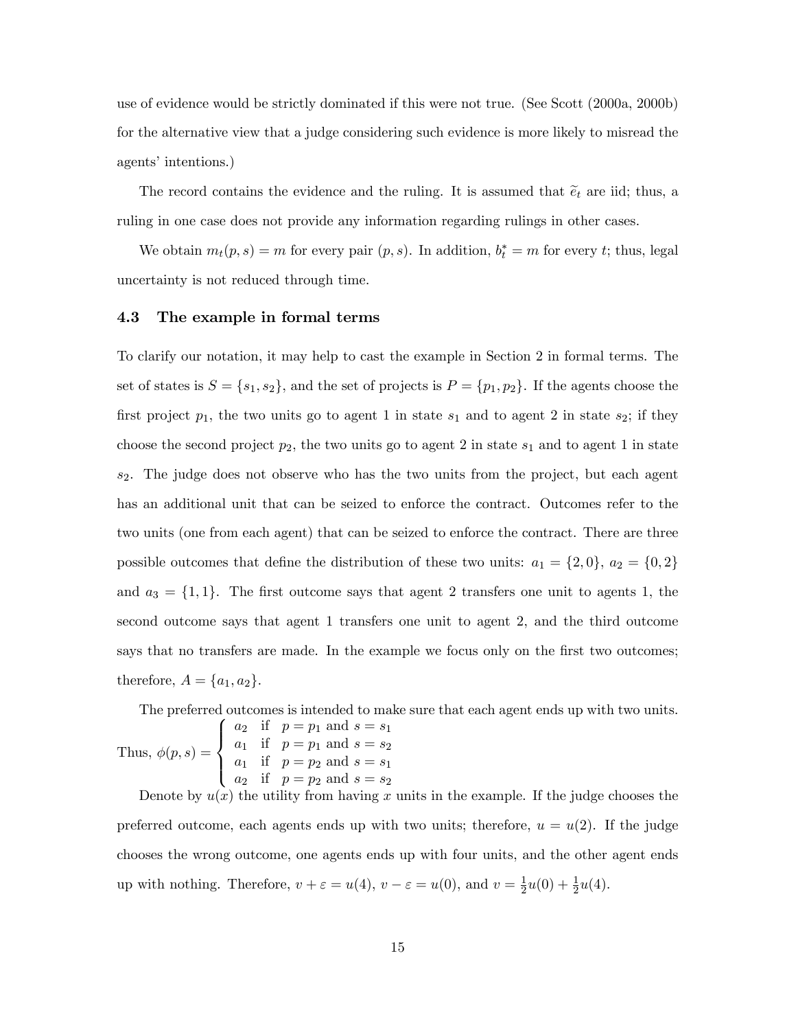use of evidence would be strictly dominated if this were not true. (See Scott (2000a, 2000b) for the alternative view that a judge considering such evidence is more likely to misread the agents' intentions.)

The record contains the evidence and the ruling. It is assumed that  $\tilde{e}_t$  are iid; thus, a ruling in one case does not provide any information regarding rulings in other cases.

We obtain  $m_t(p, s) = m$  for every pair  $(p, s)$ . In addition,  $b_t^* = m$  for every t; thus, legal uncertainty is not reduced through time.

### 4.3 The example in formal terms

To clarify our notation, it may help to cast the example in Section 2 in formal terms. The set of states is  $S = \{s_1, s_2\}$ , and the set of projects is  $P = \{p_1, p_2\}$ . If the agents choose the first project  $p_1$ , the two units go to agent 1 in state  $s_1$  and to agent 2 in state  $s_2$ ; if they choose the second project  $p_2$ , the two units go to agent 2 in state  $s_1$  and to agent 1 in state  $s_2$ . The judge does not observe who has the two units from the project, but each agent has an additional unit that can be seized to enforce the contract. Outcomes refer to the two units (one from each agent) that can be seized to enforce the contract. There are three possible outcomes that define the distribution of these two units:  $a_1 = \{2, 0\}, a_2 = \{0, 2\}$ and  $a_3 = \{1, 1\}$ . The first outcome says that agent 2 transfers one unit to agents 1, the second outcome says that agent 1 transfers one unit to agent 2, and the third outcome says that no transfers are made. In the example we focus only on the first two outcomes; therefore,  $A = \{a_1, a_2\}.$ 

The preferred outcomes is intended to make sure that each agent ends up with two units.

Thus,  $\phi(p, s) =$  $\sqrt{2}$  $\left| \right|$  $\left\vert \right\vert$  $a_2$  if  $p = p_1$  and  $s = s_1$  $a_1$  if  $p = p_1$  and  $s = s_2$  $a_1$  if  $p = p_2$  and  $s = s_1$  $a_2$  if  $p = p_2$  and  $s = s_2$ 

Denote by  $u(x)$  the utility from having x units in the example. If the judge chooses the preferred outcome, each agents ends up with two units; therefore,  $u = u(2)$ . If the judge chooses the wrong outcome, one agents ends up with four units, and the other agent ends up with nothing. Therefore,  $v + \varepsilon = u(4)$ ,  $v - \varepsilon = u(0)$ , and  $v = \frac{1}{2}$  $\frac{1}{2}u(0) + \frac{1}{2}u(4).$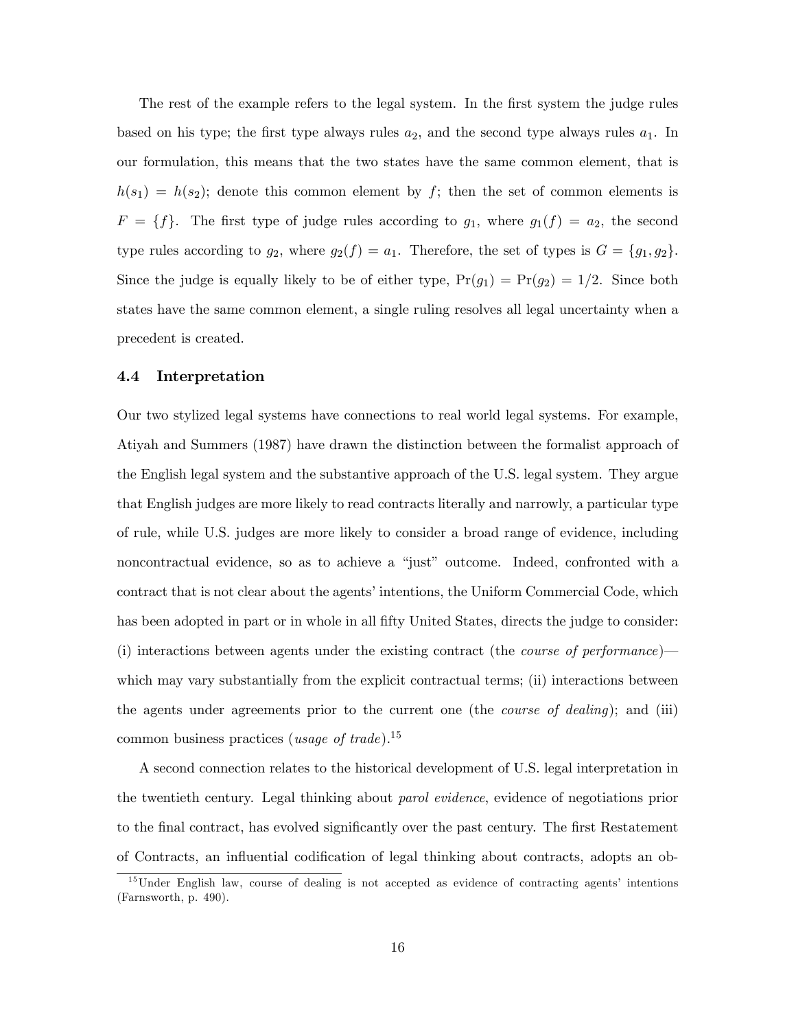The rest of the example refers to the legal system. In the first system the judge rules based on his type; the first type always rules  $a_2$ , and the second type always rules  $a_1$ . In our formulation, this means that the two states have the same common element, that is  $h(s_1) = h(s_2)$ ; denote this common element by f; then the set of common elements is  $F = \{f\}$ . The first type of judge rules according to  $g_1$ , where  $g_1(f) = a_2$ , the second type rules according to  $g_2$ , where  $g_2(f) = a_1$ . Therefore, the set of types is  $G = \{g_1, g_2\}$ . Since the judge is equally likely to be of either type,  $Pr(g_1) = Pr(g_2) = 1/2$ . Since both states have the same common element, a single ruling resolves all legal uncertainty when a precedent is created.

#### 4.4 Interpretation

Our two stylized legal systems have connections to real world legal systems. For example, Atiyah and Summers (1987) have drawn the distinction between the formalist approach of the English legal system and the substantive approach of the U.S. legal system. They argue that English judges are more likely to read contracts literally and narrowly, a particular type of rule, while U.S. judges are more likely to consider a broad range of evidence, including noncontractual evidence, so as to achieve a "just" outcome. Indeed, confronted with a contract that is not clear about the agents' intentions, the Uniform Commercial Code, which has been adopted in part or in whole in all fifty United States, directs the judge to consider: (i) interactions between agents under the existing contract (the *course of performance*) $\rightarrow$ which may vary substantially from the explicit contractual terms; (ii) interactions between the agents under agreements prior to the current one (the course of dealing); and (iii) common business practices (usage of trade).<sup>15</sup>

A second connection relates to the historical development of U.S. legal interpretation in the twentieth century. Legal thinking about parol evidence, evidence of negotiations prior to the final contract, has evolved significantly over the past century. The first Restatement of Contracts, an influential codification of legal thinking about contracts, adopts an ob-

 $15$ Under English law, course of dealing is not accepted as evidence of contracting agents' intentions (Farnsworth, p. 490).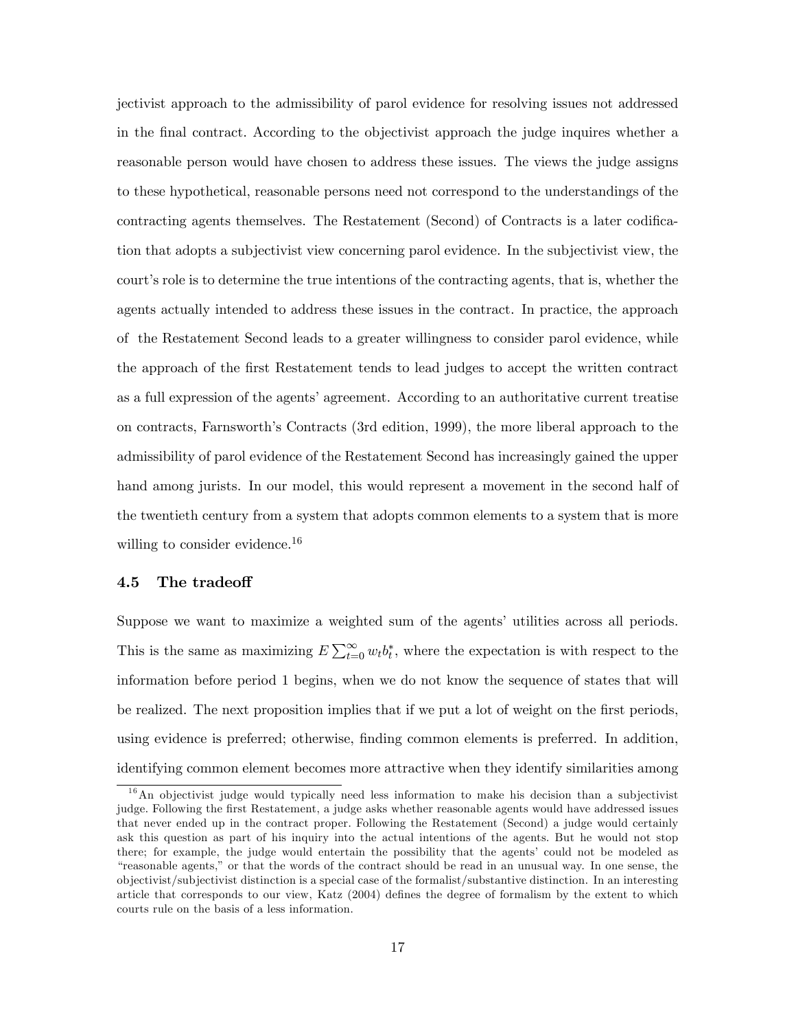jectivist approach to the admissibility of parol evidence for resolving issues not addressed in the Önal contract. According to the objectivist approach the judge inquires whether a reasonable person would have chosen to address these issues. The views the judge assigns to these hypothetical, reasonable persons need not correspond to the understandings of the contracting agents themselves. The Restatement (Second) of Contracts is a later codification that adopts a subjectivist view concerning parol evidence. In the subjectivist view, the court's role is to determine the true intentions of the contracting agents, that is, whether the agents actually intended to address these issues in the contract. In practice, the approach of the Restatement Second leads to a greater willingness to consider parol evidence, while the approach of the Örst Restatement tends to lead judges to accept the written contract as a full expression of the agents' agreement. According to an authoritative current treatise on contracts, Farnsworthís Contracts (3rd edition, 1999), the more liberal approach to the admissibility of parol evidence of the Restatement Second has increasingly gained the upper hand among jurists. In our model, this would represent a movement in the second half of the twentieth century from a system that adopts common elements to a system that is more willing to consider evidence.<sup>16</sup>

### 4.5 The tradeoff

Suppose we want to maximize a weighted sum of the agents' utilities across all periods. This is the same as maximizing  $E \sum_{t=0}^{\infty} w_t b_t^*$ , where the expectation is with respect to the information before period 1 begins, when we do not know the sequence of states that will be realized. The next proposition implies that if we put a lot of weight on the first periods, using evidence is preferred; otherwise, finding common elements is preferred. In addition, identifying common element becomes more attractive when they identify similarities among

 $1<sup>6</sup>$ An objectivist judge would typically need less information to make his decision than a subjectivist judge. Following the Örst Restatement, a judge asks whether reasonable agents would have addressed issues that never ended up in the contract proper. Following the Restatement (Second) a judge would certainly ask this question as part of his inquiry into the actual intentions of the agents. But he would not stop there; for example, the judge would entertain the possibility that the agents' could not be modeled as ìreasonable agents,î or that the words of the contract should be read in an unusual way. In one sense, the objectivist/subjectivist distinction is a special case of the formalist/substantive distinction. In an interesting article that corresponds to our view, Katz (2004) defines the degree of formalism by the extent to which courts rule on the basis of a less information.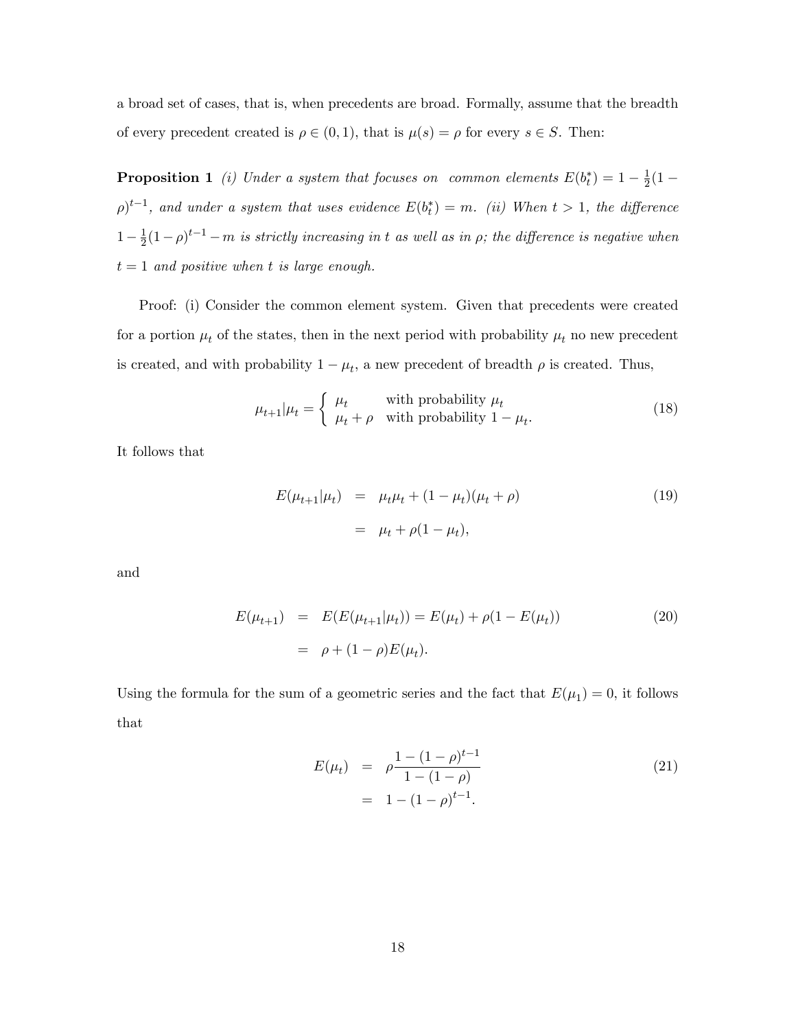a broad set of cases, that is, when precedents are broad. Formally, assume that the breadth of every precedent created is  $\rho \in (0, 1)$ , that is  $\mu(s) = \rho$  for every  $s \in S$ . Then:

**Proposition 1** (i) Under a system that focuses on common elements  $E(b_t^*) = 1 - \frac{1}{2}$  $rac{1}{2}(1 (\rho)^{t-1}$ , and under a system that uses evidence  $E(b_t^*) = m$ . (ii) When  $t > 1$ , the difference  $1 - \frac{1}{2}$  $\frac{1}{2}(1-\rho)^{t-1}-m$  is strictly increasing in t as well as in  $\rho$ ; the difference is negative when  $t = 1$  and positive when t is large enough.

Proof: (i) Consider the common element system. Given that precedents were created for a portion  $\mu_t$  of the states, then in the next period with probability  $\mu_t$  no new precedent is created, and with probability  $1 - \mu_t$ , a new precedent of breadth  $\rho$  is created. Thus,

$$
\mu_{t+1}|\mu_t = \begin{cases} \mu_t & \text{with probability } \mu_t \\ \mu_t + \rho & \text{with probability } 1 - \mu_t. \end{cases}
$$
\n(18)

It follows that

$$
E(\mu_{t+1}|\mu_t) = \mu_t \mu_t + (1 - \mu_t)(\mu_t + \rho)
$$
  
=  $\mu_t + \rho(1 - \mu_t),$  (19)

and

$$
E(\mu_{t+1}) = E(E(\mu_{t+1}|\mu_t)) = E(\mu_t) + \rho(1 - E(\mu_t))
$$
\n
$$
= \rho + (1 - \rho)E(\mu_t).
$$
\n(20)

Using the formula for the sum of a geometric series and the fact that  $E(\mu_1) = 0$ , it follows that

$$
E(\mu_t) = \rho \frac{1 - (1 - \rho)^{t-1}}{1 - (1 - \rho)}
$$
  
= 1 - (1 - \rho)^{t-1}. (21)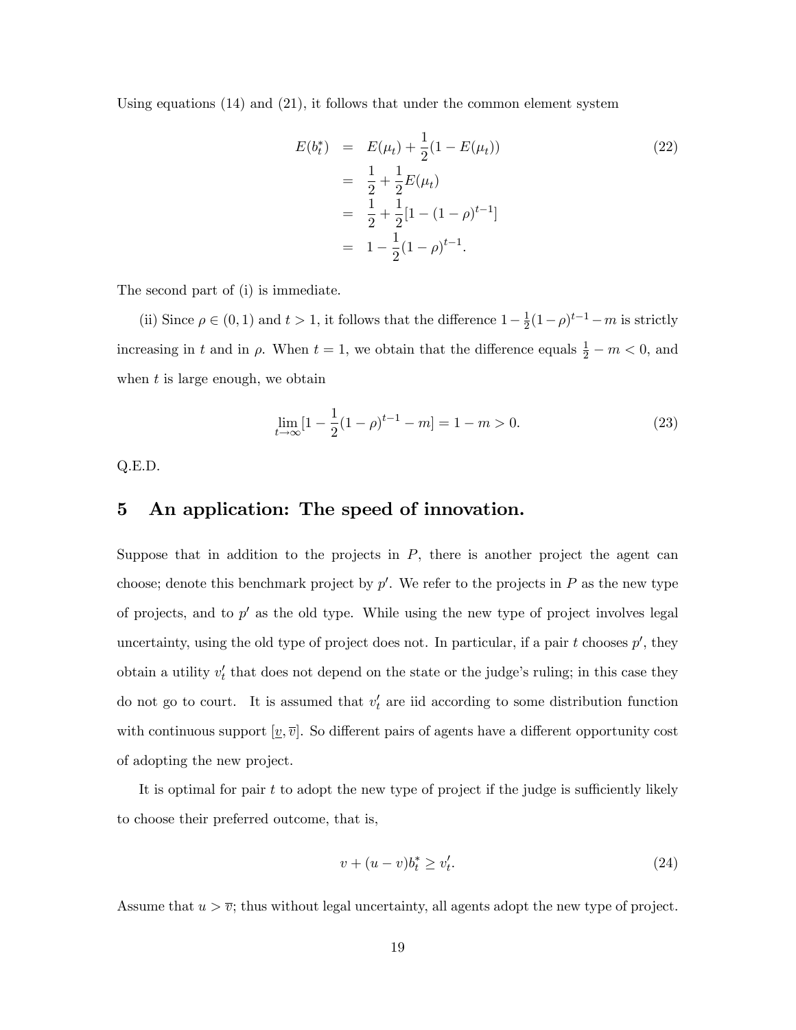Using equations (14) and (21), it follows that under the common element system

$$
E(b_t^*) = E(\mu_t) + \frac{1}{2}(1 - E(\mu_t))
$$
  
=  $\frac{1}{2} + \frac{1}{2}E(\mu_t)$   
=  $\frac{1}{2} + \frac{1}{2}[1 - (1 - \rho)^{t-1}]$   
=  $1 - \frac{1}{2}(1 - \rho)^{t-1}.$  (22)

The second part of (i) is immediate.

(ii) Since  $\rho \in (0, 1)$  and  $t > 1$ , it follows that the difference  $1 - \frac{1}{2}$  $\frac{1}{2}(1-\rho)^{t-1} - m$  is strictly increasing in t and in  $\rho$ . When  $t = 1$ , we obtain that the difference equals  $\frac{1}{2} - m < 0$ , and when  $t$  is large enough, we obtain

$$
\lim_{t \to \infty} [1 - \frac{1}{2}(1 - \rho)^{t-1} - m] = 1 - m > 0.
$$
\n(23)

Q.E.D.

# 5 An application: The speed of innovation.

Suppose that in addition to the projects in  $P$ , there is another project the agent can choose; denote this benchmark project by  $p'$ . We refer to the projects in P as the new type of projects, and to  $p'$  as the old type. While using the new type of project involves legal uncertainty, using the old type of project does not. In particular, if a pair  $t$  chooses  $p'$ , they obtain a utility  $v'_t$  that does not depend on the state or the judge's ruling; in this case they do not go to court. It is assumed that  $v'_t$  are iid according to some distribution function with continuous support  $[v,\overline{v}]$ . So different pairs of agents have a different opportunity cost of adopting the new project.

It is optimal for pair  $t$  to adopt the new type of project if the judge is sufficiently likely to choose their preferred outcome, that is,

$$
v + (u - v)b_t^* \ge v_t'.\tag{24}
$$

Assume that  $u > \overline{v}$ ; thus without legal uncertainty, all agents adopt the new type of project.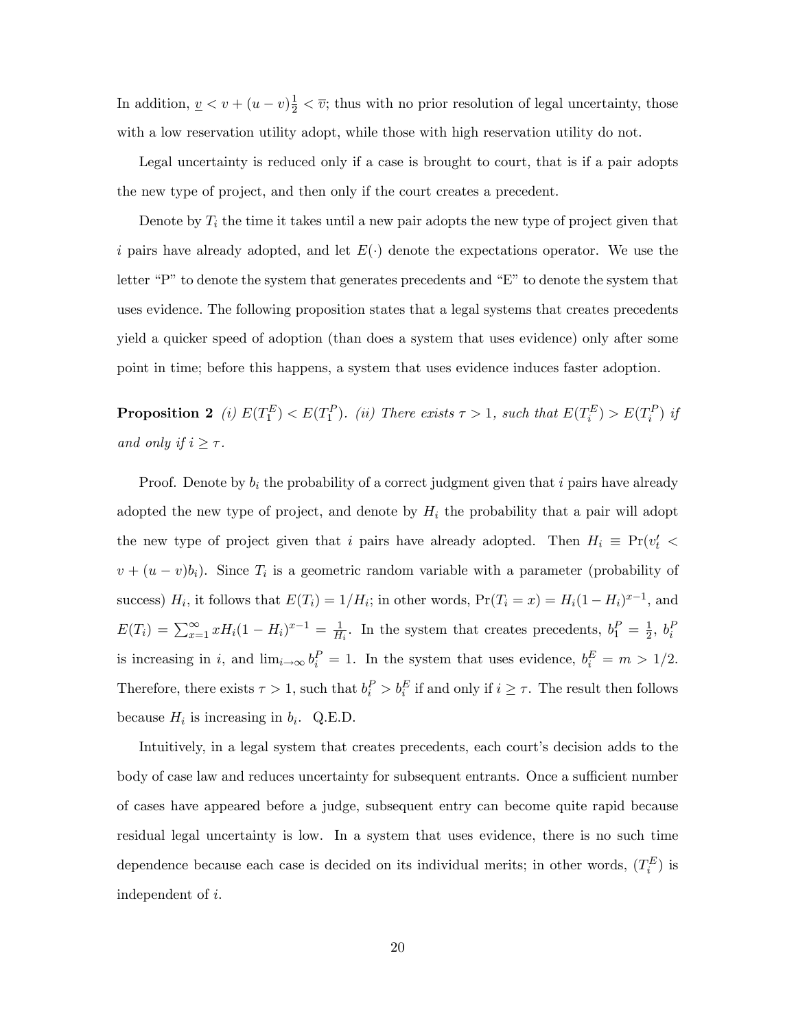In addition,  $\underline{v} < v + (u - v)\frac{1}{2} < \overline{v}$ ; thus with no prior resolution of legal uncertainty, those with a low reservation utility adopt, while those with high reservation utility do not.

Legal uncertainty is reduced only if a case is brought to court, that is if a pair adopts the new type of project, and then only if the court creates a precedent.

Denote by  $T_i$  the time it takes until a new pair adopts the new type of project given that i pairs have already adopted, and let  $E(\cdot)$  denote the expectations operator. We use the letter  $P$ " to denote the system that generates precedents and  $E$ " to denote the system that uses evidence. The following proposition states that a legal systems that creates precedents yield a quicker speed of adoption (than does a system that uses evidence) only after some point in time; before this happens, a system that uses evidence induces faster adoption.

**Proposition 2** (i)  $E(T_1^E) < E(T_1^P)$ . (ii) There exists  $\tau > 1$ , such that  $E(T_i^E) > E(T_i^P)$  if and only if  $i \geq \tau$ .

Proof. Denote by  $b_i$  the probability of a correct judgment given that i pairs have already adopted the new type of project, and denote by  $H_i$  the probability that a pair will adopt the new type of project given that i pairs have already adopted. Then  $H_i \equiv Pr(v'_t$  $v + (u - v)b_i$ ). Since  $T_i$  is a geometric random variable with a parameter (probability of success)  $H_i$ , it follows that  $E(T_i) = 1/H_i$ ; in other words,  $Pr(T_i = x) = H_i(1 - H_i)^{x-1}$ , and  $E(T_i) = \sum_{x=1}^{\infty} x H_i (1 - H_i)^{x-1} = \frac{1}{H}$  $\frac{1}{H_i}$ . In the system that creates precedents,  $b_1^P = \frac{1}{2}$  $\frac{1}{2}$ ,  $b_i^P$ is increasing in i, and  $\lim_{i\to\infty} b_i^P = 1$ . In the system that uses evidence,  $b_i^E = m > 1/2$ . Therefore, there exists  $\tau > 1$ , such that  $b_i^P > b_i^E$  if and only if  $i \geq \tau$ . The result then follows because  $H_i$  is increasing in  $b_i$ . Q.E.D.

Intuitively, in a legal system that creates precedents, each court's decision adds to the body of case law and reduces uncertainty for subsequent entrants. Once a sufficient number of cases have appeared before a judge, subsequent entry can become quite rapid because residual legal uncertainty is low. In a system that uses evidence, there is no such time dependence because each case is decided on its individual merits; in other words,  $(T_i^E)$  is independent of i.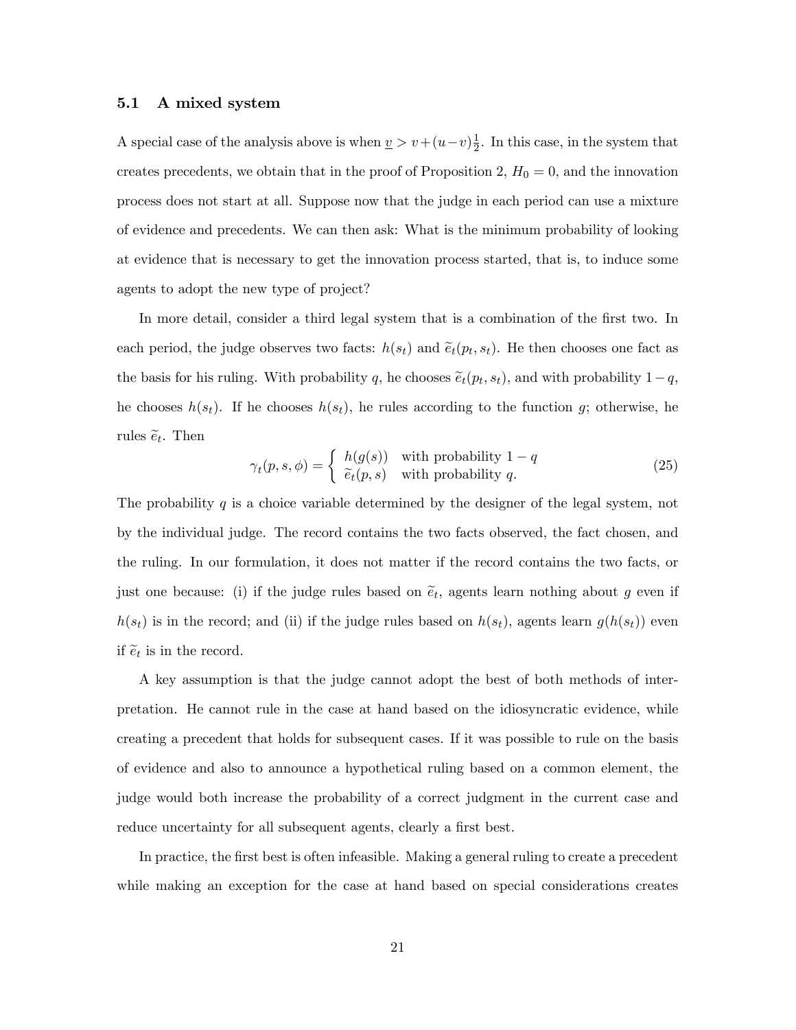#### 5.1 A mixed system

A special case of the analysis above is when  $\underline{v} > v + (u-v)\frac{1}{2}$  $\frac{1}{2}$ . In this case, in the system that creates precedents, we obtain that in the proof of Proposition 2,  $H_0 = 0$ , and the innovation process does not start at all. Suppose now that the judge in each period can use a mixture of evidence and precedents. We can then ask: What is the minimum probability of looking at evidence that is necessary to get the innovation process started, that is, to induce some agents to adopt the new type of project?

In more detail, consider a third legal system that is a combination of the first two. In each period, the judge observes two facts:  $h(s_t)$  and  $\tilde{e}_t(p_t, s_t)$ . He then chooses one fact as the basis for his ruling. With probability q, he chooses  $\tilde{e}_t(p_t, s_t)$ , and with probability  $1-q$ , he chooses  $h(s_t)$ . If he chooses  $h(s_t)$ , he rules according to the function g; otherwise, he rules  $\tilde{e}_t$ . Then

$$
\gamma_t(p, s, \phi) = \begin{cases} h(g(s)) & \text{with probability } 1 - q \\ \tilde{e}_t(p, s) & \text{with probability } q. \end{cases} \tag{25}
$$

The probability  $q$  is a choice variable determined by the designer of the legal system, not by the individual judge. The record contains the two facts observed, the fact chosen, and the ruling. In our formulation, it does not matter if the record contains the two facts, or just one because: (i) if the judge rules based on  $\tilde{e}_t$ , agents learn nothing about g even if  $h(s_t)$  is in the record; and (ii) if the judge rules based on  $h(s_t)$ , agents learn  $g(h(s_t))$  even if  $\tilde{e}_t$  is in the record.

A key assumption is that the judge cannot adopt the best of both methods of interpretation. He cannot rule in the case at hand based on the idiosyncratic evidence, while creating a precedent that holds for subsequent cases. If it was possible to rule on the basis of evidence and also to announce a hypothetical ruling based on a common element, the judge would both increase the probability of a correct judgment in the current case and reduce uncertainty for all subsequent agents, clearly a first best.

In practice, the first best is often infeasible. Making a general ruling to create a precedent while making an exception for the case at hand based on special considerations creates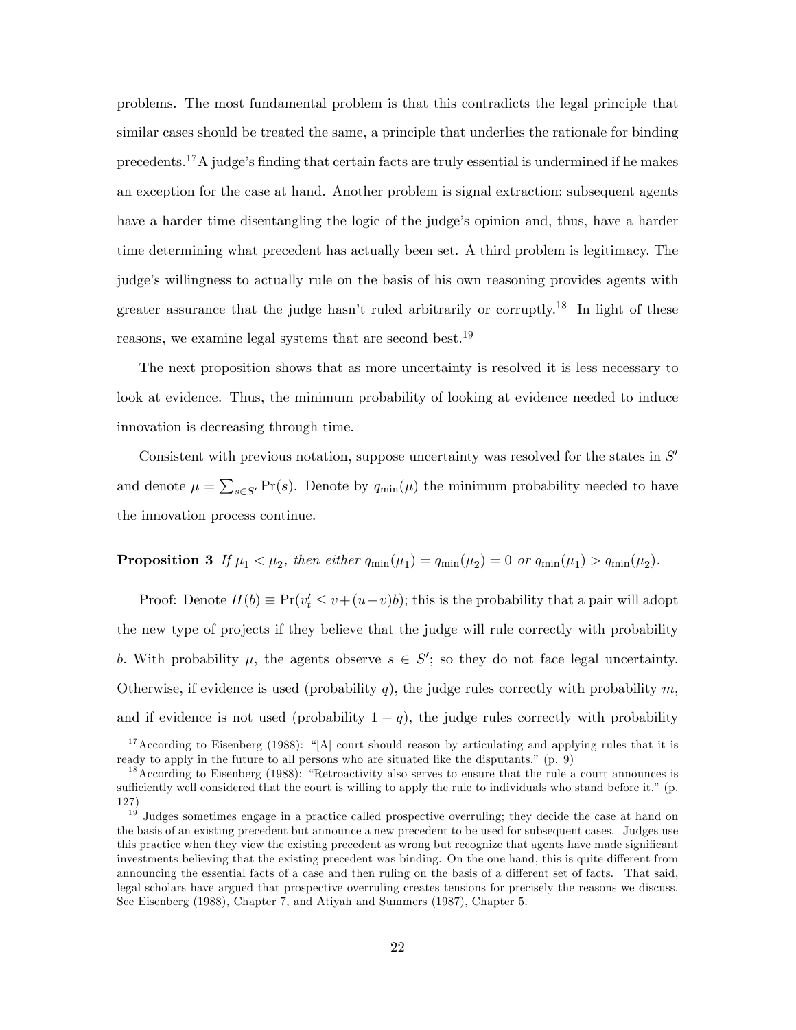problems. The most fundamental problem is that this contradicts the legal principle that similar cases should be treated the same, a principle that underlies the rationale for binding precedents.<sup>17</sup>A judge's finding that certain facts are truly essential is undermined if he makes an exception for the case at hand. Another problem is signal extraction; subsequent agents have a harder time disentangling the logic of the judge's opinion and, thus, have a harder time determining what precedent has actually been set. A third problem is legitimacy. The judge's willingness to actually rule on the basis of his own reasoning provides agents with greater assurance that the judge hasn't ruled arbitrarily or corruptly.<sup>18</sup> In light of these reasons, we examine legal systems that are second best.<sup>19</sup>

The next proposition shows that as more uncertainty is resolved it is less necessary to look at evidence. Thus, the minimum probability of looking at evidence needed to induce innovation is decreasing through time.

Consistent with previous notation, suppose uncertainty was resolved for the states in  $S'$ and denote  $\mu = \sum_{s \in S'} Pr(s)$ . Denote by  $q_{min}(\mu)$  the minimum probability needed to have the innovation process continue.

## **Proposition 3** If  $\mu_1 < \mu_2$ , then either  $q_{\min}(\mu_1) = q_{\min}(\mu_2) = 0$  or  $q_{\min}(\mu_1) > q_{\min}(\mu_2)$ .

Proof: Denote  $H(b) \equiv Pr(v_t' \le v + (u-v)b)$ ; this is the probability that a pair will adopt the new type of projects if they believe that the judge will rule correctly with probability b. With probability  $\mu$ , the agents observe  $s \in S'$ ; so they do not face legal uncertainty. Otherwise, if evidence is used (probability q), the judge rules correctly with probability  $m$ , and if evidence is not used (probability  $1 - q$ ), the judge rules correctly with probability

 $17$ According to Eisenberg (1988): "[A] court should reason by articulating and applying rules that it is ready to apply in the future to all persons who are situated like the disputants."  $(p. 9)$ 

 $1<sup>8</sup>$  According to Eisenberg (1988): "Retroactivity also serves to ensure that the rule a court announces is sufficiently well considered that the court is willing to apply the rule to individuals who stand before it." (p. 127)

 $1<sup>9</sup>$  Judges sometimes engage in a practice called prospective overruling; they decide the case at hand on the basis of an existing precedent but announce a new precedent to be used for subsequent cases. Judges use this practice when they view the existing precedent as wrong but recognize that agents have made significant investments believing that the existing precedent was binding. On the one hand, this is quite different from announcing the essential facts of a case and then ruling on the basis of a different set of facts. That said, legal scholars have argued that prospective overruling creates tensions for precisely the reasons we discuss. See Eisenberg (1988), Chapter 7, and Atiyah and Summers (1987), Chapter 5.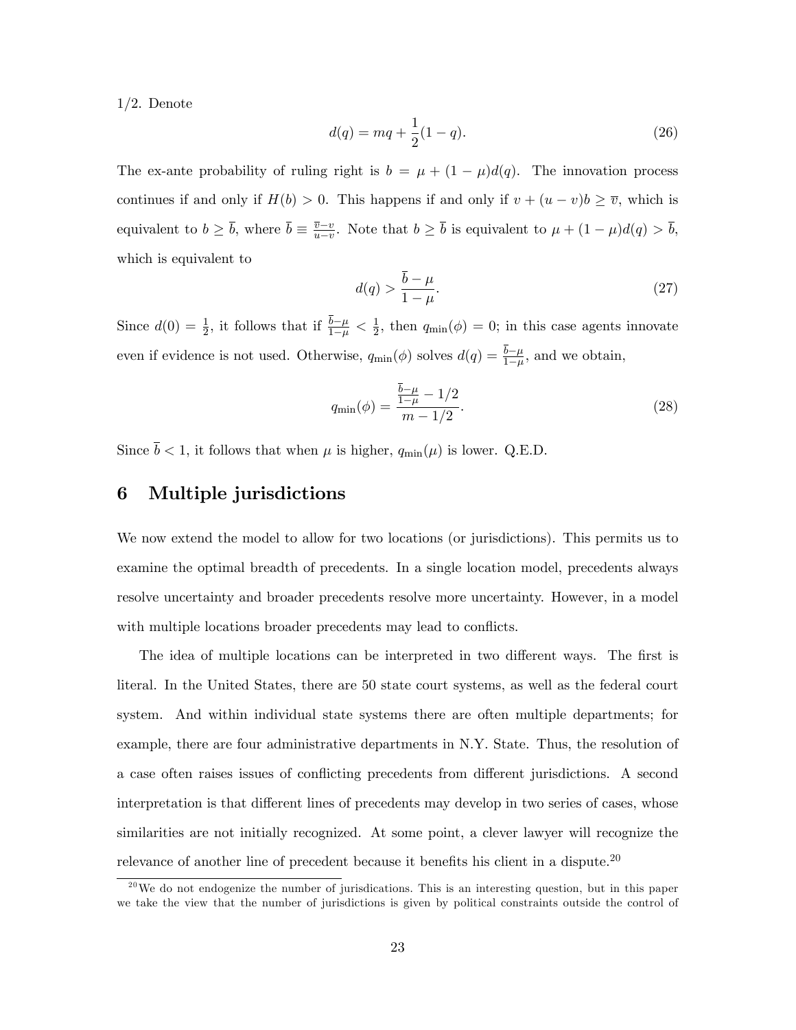$1/2$ . Denote

$$
d(q) = mq + \frac{1}{2}(1 - q).
$$
\n(26)

The ex-ante probability of ruling right is  $b = \mu + (1 - \mu)d(q)$ . The innovation process continues if and only if  $H(b) > 0$ . This happens if and only if  $v + (u - v)b \geq \overline{v}$ , which is equivalent to  $b \geq \overline{b}$ , where  $\overline{b} \equiv \frac{\overline{v} - v}{u - v}$  $\frac{v-v}{u-v}$ . Note that  $b \geq b$  is equivalent to  $\mu + (1-\mu)d(q) > b$ , which is equivalent to

$$
d(q) > \frac{\bar{b} - \mu}{1 - \mu}.\tag{27}
$$

Since  $d(0) = \frac{1}{2}$ , it follows that if  $\frac{b-\mu}{1-\mu} < \frac{1}{2}$  $\frac{1}{2}$ , then  $q_{\min}(\phi) = 0$ ; in this case agents innovate even if evidence is not used. Otherwise,  $q_{\min}(\phi)$  solves  $d(q) = \frac{b-\mu}{1-\mu}$ , and we obtain,

$$
q_{\min}(\phi) = \frac{\frac{\bar{b} - \mu}{1 - \mu} - 1/2}{m - 1/2}.
$$
\n(28)

Since  $\bar{b} < 1$ , it follows that when  $\mu$  is higher,  $q_{\min}(\mu)$  is lower. Q.E.D.

# 6 Multiple jurisdictions

We now extend the model to allow for two locations (or jurisdictions). This permits us to examine the optimal breadth of precedents. In a single location model, precedents always resolve uncertainty and broader precedents resolve more uncertainty. However, in a model with multiple locations broader precedents may lead to conflicts.

The idea of multiple locations can be interpreted in two different ways. The first is literal. In the United States, there are 50 state court systems, as well as the federal court system. And within individual state systems there are often multiple departments; for example, there are four administrative departments in N.Y. State. Thus, the resolution of a case often raises issues of conflicting precedents from different jurisdictions. A second interpretation is that different lines of precedents may develop in two series of cases, whose similarities are not initially recognized. At some point, a clever lawyer will recognize the relevance of another line of precedent because it benefits his client in a dispute.<sup>20</sup>

 $^{20}$ We do not endogenize the number of jurisdications. This is an interesting question, but in this paper we take the view that the number of jurisdictions is given by political constraints outside the control of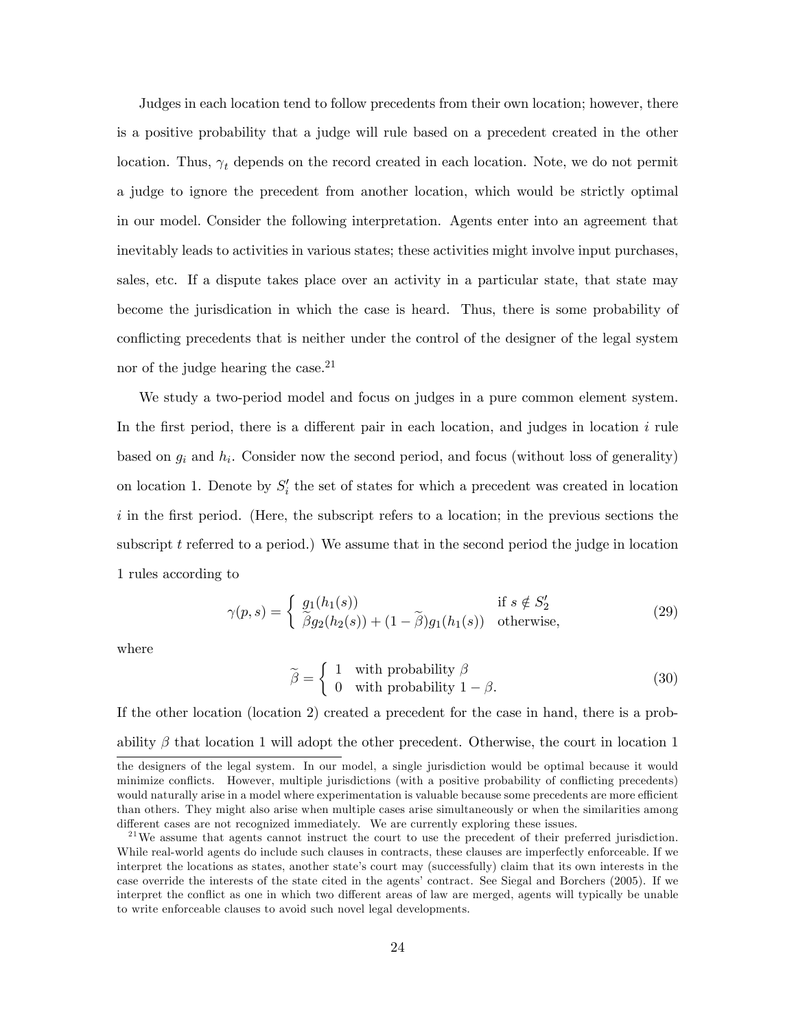Judges in each location tend to follow precedents from their own location; however, there is a positive probability that a judge will rule based on a precedent created in the other location. Thus,  $\gamma_t$  depends on the record created in each location. Note, we do not permit a judge to ignore the precedent from another location, which would be strictly optimal in our model. Consider the following interpretation. Agents enter into an agreement that inevitably leads to activities in various states; these activities might involve input purchases, sales, etc. If a dispute takes place over an activity in a particular state, that state may become the jurisdication in which the case is heard. Thus, there is some probability of conflicting precedents that is neither under the control of the designer of the legal system nor of the judge hearing the case. $2<sup>1</sup>$ 

We study a two-period model and focus on judges in a pure common element system. In the first period, there is a different pair in each location, and judges in location  $i$  rule based on  $g_i$  and  $h_i$ . Consider now the second period, and focus (without loss of generality) on location 1. Denote by  $S_i'$  the set of states for which a precedent was created in location  $i$  in the first period. (Here, the subscript refers to a location; in the previous sections the subscript  $t$  referred to a period.) We assume that in the second period the judge in location 1 rules according to

$$
\gamma(p,s) = \begin{cases} g_1(h_1(s)) & \text{if } s \notin S_2'\\ \tilde{\beta}g_2(h_2(s)) + (1-\tilde{\beta})g_1(h_1(s)) & \text{otherwise,} \end{cases}
$$
(29)

where

$$
\widetilde{\beta} = \begin{cases} 1 & \text{with probability } \beta \\ 0 & \text{with probability } 1 - \beta. \end{cases}
$$
 (30)

If the other location (location 2) created a precedent for the case in hand, there is a probability  $\beta$  that location 1 will adopt the other precedent. Otherwise, the court in location 1

the designers of the legal system. In our model, a single jurisdiction would be optimal because it would minimize conflicts. However, multiple jurisdictions (with a positive probability of conflicting precedents) would naturally arise in a model where experimentation is valuable because some precedents are more efficient than others. They might also arise when multiple cases arise simultaneously or when the similarities among different cases are not recognized immediately. We are currently exploring these issues.

 $2<sup>1</sup>$ We assume that agents cannot instruct the court to use the precedent of their preferred jurisdiction. While real-world agents do include such clauses in contracts, these clauses are imperfectly enforceable. If we interpret the locations as states, another state's court may (successfully) claim that its own interests in the case override the interests of the state cited in the agentsícontract. See Siegal and Borchers (2005). If we interpret the conflict as one in which two different areas of law are merged, agents will typically be unable to write enforceable clauses to avoid such novel legal developments.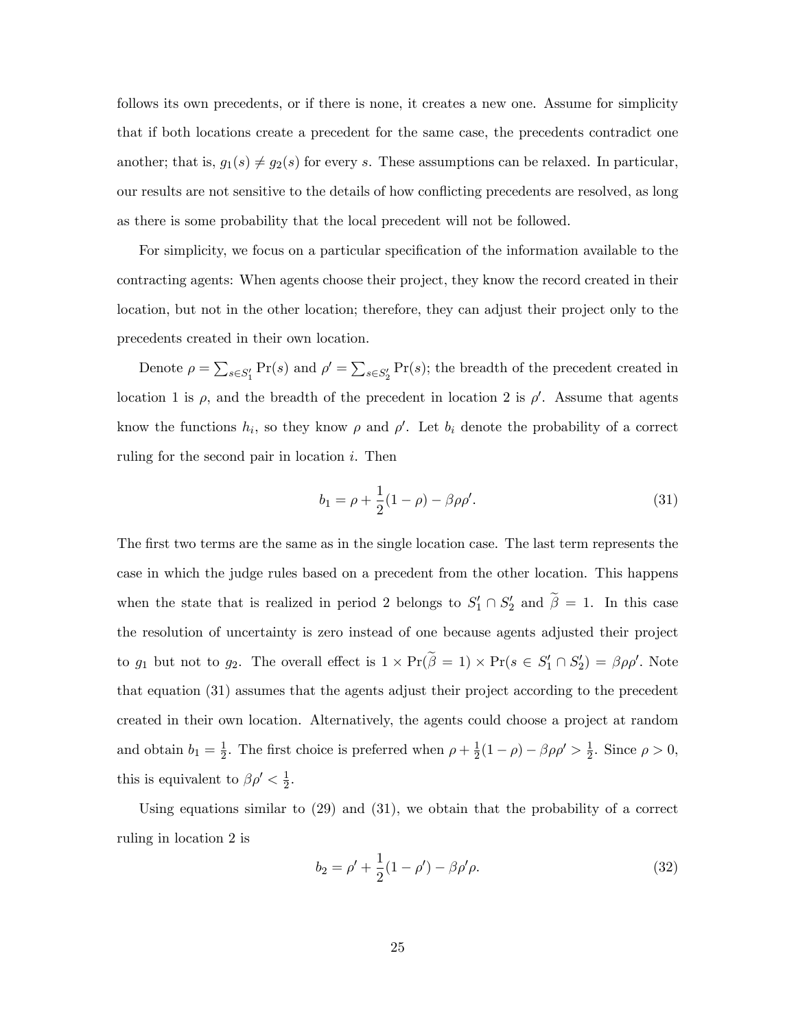follows its own precedents, or if there is none, it creates a new one. Assume for simplicity that if both locations create a precedent for the same case, the precedents contradict one another; that is,  $g_1(s) \neq g_2(s)$  for every s. These assumptions can be relaxed. In particular, our results are not sensitive to the details of how conflicting precedents are resolved, as long as there is some probability that the local precedent will not be followed.

For simplicity, we focus on a particular specification of the information available to the contracting agents: When agents choose their project, they know the record created in their location, but not in the other location; therefore, they can adjust their project only to the precedents created in their own location.

Denote  $\rho = \sum_{s \in S'_1} \Pr(s)$  and  $\rho' = \sum_{s \in S'_2} \Pr(s)$ ; the breadth of the precedent created in location 1 is  $\rho$ , and the breadth of the precedent in location 2 is  $\rho'$ . Assume that agents know the functions  $h_i$ , so they know  $\rho$  and  $\rho'$ . Let  $b_i$  denote the probability of a correct ruling for the second pair in location  $i$ . Then

$$
b_1 = \rho + \frac{1}{2}(1 - \rho) - \beta \rho \rho'. \tag{31}
$$

The first two terms are the same as in the single location case. The last term represents the case in which the judge rules based on a precedent from the other location. This happens when the state that is realized in period 2 belongs to  $S'_1 \cap S'_2$  and  $\beta = 1$ . In this case the resolution of uncertainty is zero instead of one because agents adjusted their project to  $g_1$  but not to  $g_2$ . The overall effect is  $1 \times Pr(\beta = 1) \times Pr(s \in S_1' \cap S_2') = \beta \rho \rho'$ . Note that equation (31) assumes that the agents adjust their project according to the precedent created in their own location. Alternatively, the agents could choose a project at random and obtain  $b_1 = \frac{1}{2}$  $\frac{1}{2}$ . The first choice is preferred when  $\rho + \frac{1}{2}$  $\frac{1}{2}(1-\rho) - \beta \rho \rho' > \frac{1}{2}$  $\frac{1}{2}$ . Since  $\rho > 0$ , this is equivalent to  $\beta \rho' < \frac{1}{2}$  $\frac{1}{2}$ .

Using equations similar to (29) and (31), we obtain that the probability of a correct ruling in location 2 is

$$
b_2 = \rho' + \frac{1}{2}(1 - \rho') - \beta \rho' \rho.
$$
 (32)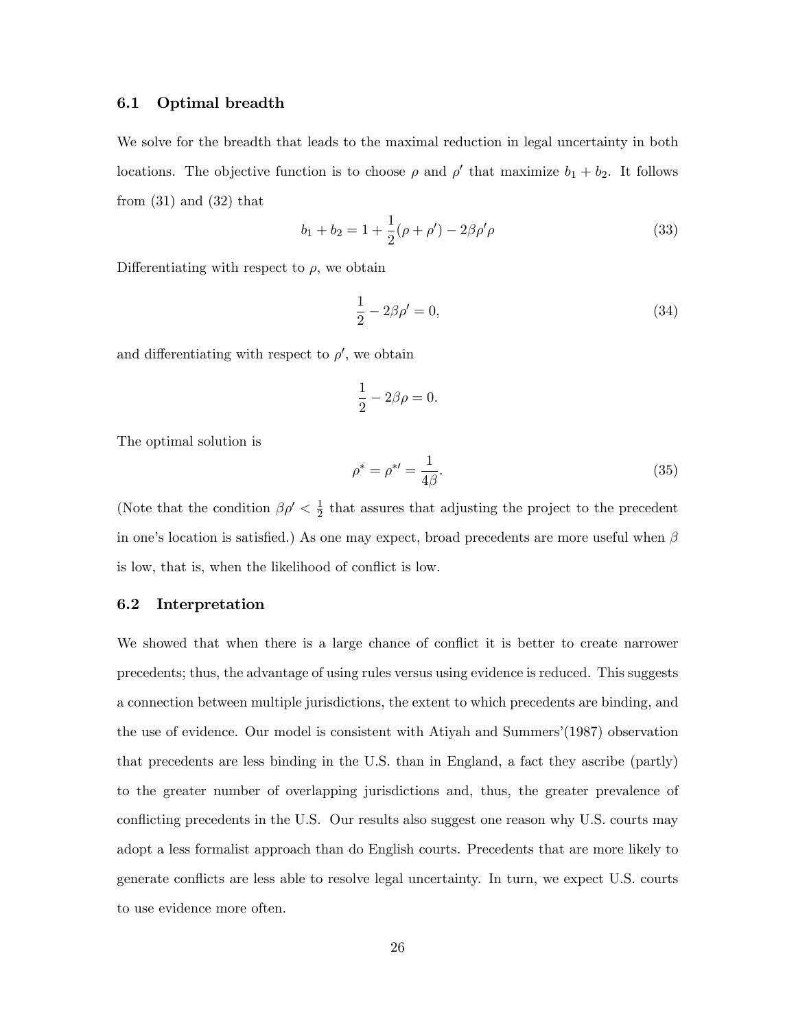### 6.1 Optimal breadth

We solve for the breadth that leads to the maximal reduction in legal uncertainty in both locations. The objective function is to choose  $\rho$  and  $\rho'$  that maximize  $b_1 + b_2$ . It follows from  $(31)$  and  $(32)$  that

$$
b_1 + b_2 = 1 + \frac{1}{2}(\rho + \rho') - 2\beta \rho' \rho \tag{33}
$$

Differentiating with respect to  $\rho$ , we obtain

$$
\frac{1}{2} - 2\beta \rho' = 0,\t\t(34)
$$

and differentiating with respect to  $\rho'$ , we obtain

$$
\frac{1}{2} - 2\beta \rho = 0.
$$

The optimal solution is

$$
\rho^* = \rho^{*'} = \frac{1}{4\beta}.\tag{35}
$$

(Note that the condition  $\beta \rho' < \frac{1}{2}$ )  $\frac{1}{2}$  that assures that adjusting the project to the precedent in one's location is satisfied.) As one may expect, broad precedents are more useful when  $\beta$ is low, that is, when the likelihood of conflict is low.

### 6.2 Interpretation

We showed that when there is a large chance of conflict it is better to create narrower precedents; thus, the advantage of using rules versus using evidence is reduced. This suggests a connection between multiple jurisdictions, the extent to which precedents are binding, and the use of evidence. Our model is consistent with Atiyah and Summers'(1987) observation that precedents are less binding in the U.S. than in England, a fact they ascribe (partly) to the greater number of overlapping jurisdictions and, thus, the greater prevalence of conflicting precedents in the U.S. Our results also suggest one reason why U.S. courts may adopt a less formalist approach than do English courts. Precedents that are more likely to generate conflicts are less able to resolve legal uncertainty. In turn, we expect U.S. courts to use evidence more often.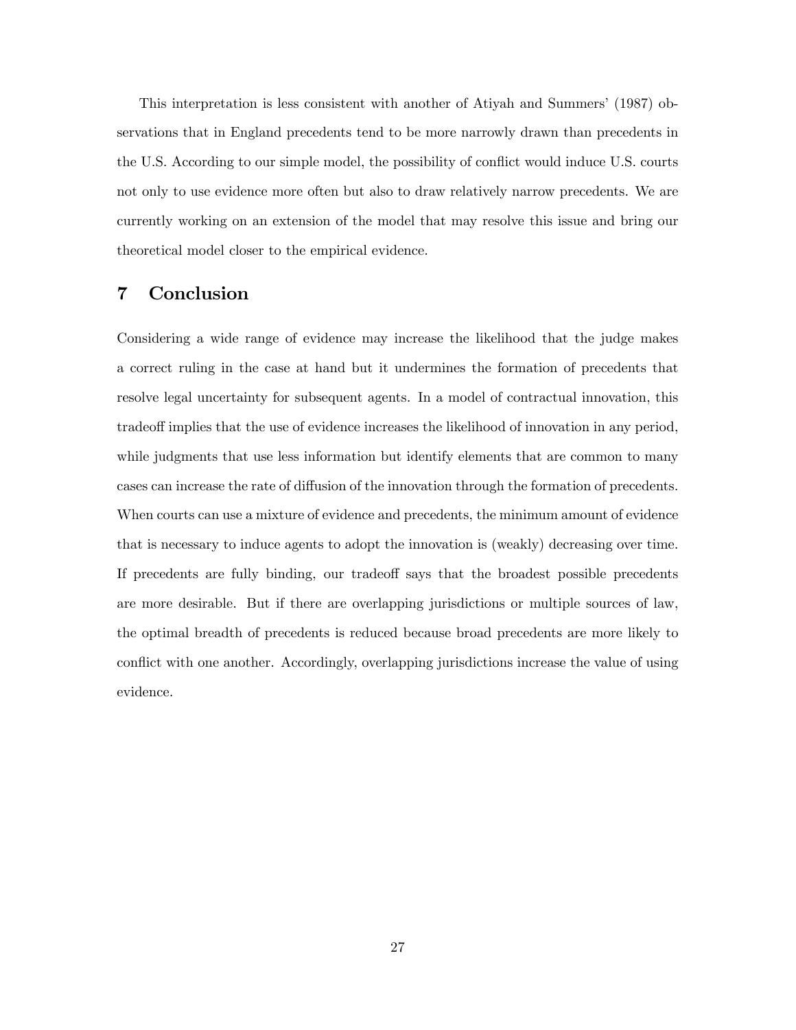This interpretation is less consistent with another of Atiyah and Summers' (1987) observations that in England precedents tend to be more narrowly drawn than precedents in the U.S. According to our simple model, the possibility of conflict would induce U.S. courts not only to use evidence more often but also to draw relatively narrow precedents. We are currently working on an extension of the model that may resolve this issue and bring our theoretical model closer to the empirical evidence.

# 7 Conclusion

Considering a wide range of evidence may increase the likelihood that the judge makes a correct ruling in the case at hand but it undermines the formation of precedents that resolve legal uncertainty for subsequent agents. In a model of contractual innovation, this tradeoff implies that the use of evidence increases the likelihood of innovation in any period, while judgments that use less information but identify elements that are common to many cases can increase the rate of diffusion of the innovation through the formation of precedents. When courts can use a mixture of evidence and precedents, the minimum amount of evidence that is necessary to induce agents to adopt the innovation is (weakly) decreasing over time. If precedents are fully binding, our tradeoff says that the broadest possible precedents are more desirable. But if there are overlapping jurisdictions or multiple sources of law, the optimal breadth of precedents is reduced because broad precedents are more likely to conflict with one another. Accordingly, overlapping jurisdictions increase the value of using evidence.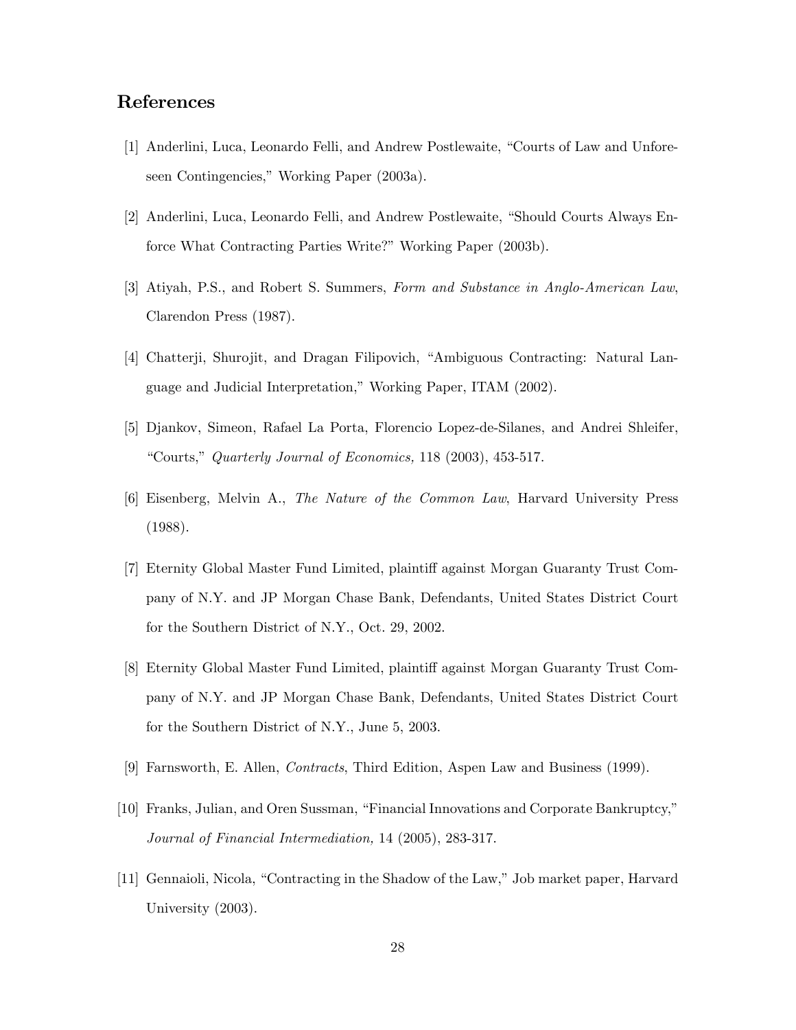# References

- [1] Anderlini, Luca, Leonardo Felli, and Andrew Postlewaite, "Courts of Law and Unforeseen Contingencies," Working Paper (2003a).
- [2] Anderlini, Luca, Leonardo Felli, and Andrew Postlewaite, "Should Courts Always Enforce What Contracting Parties Write?" Working Paper (2003b).
- [3] Atiyah, P.S., and Robert S. Summers, Form and Substance in Anglo-American Law, Clarendon Press (1987).
- [4] Chatterji, Shurojit, and Dragan Filipovich, "Ambiguous Contracting: Natural Language and Judicial Interpretation," Working Paper, ITAM (2002).
- [5] Djankov, Simeon, Rafael La Porta, Florencio Lopez-de-Silanes, and Andrei Shleifer, "Courts," Quarterly Journal of Economics, 118 (2003), 453-517.
- [6] Eisenberg, Melvin A., The Nature of the Common Law, Harvard University Press (1988).
- [7] Eternity Global Master Fund Limited, plaintiff against Morgan Guaranty Trust Company of N.Y. and JP Morgan Chase Bank, Defendants, United States District Court for the Southern District of N.Y., Oct. 29, 2002.
- [8] Eternity Global Master Fund Limited, plaintiff against Morgan Guaranty Trust Company of N.Y. and JP Morgan Chase Bank, Defendants, United States District Court for the Southern District of N.Y., June 5, 2003.
- [9] Farnsworth, E. Allen, Contracts, Third Edition, Aspen Law and Business (1999).
- [10] Franks, Julian, and Oren Sussman, "Financial Innovations and Corporate Bankruptcy," Journal of Financial Intermediation, 14 (2005), 283-317.
- [11] Gennaioli, Nicola, "Contracting in the Shadow of the Law," Job market paper, Harvard University (2003).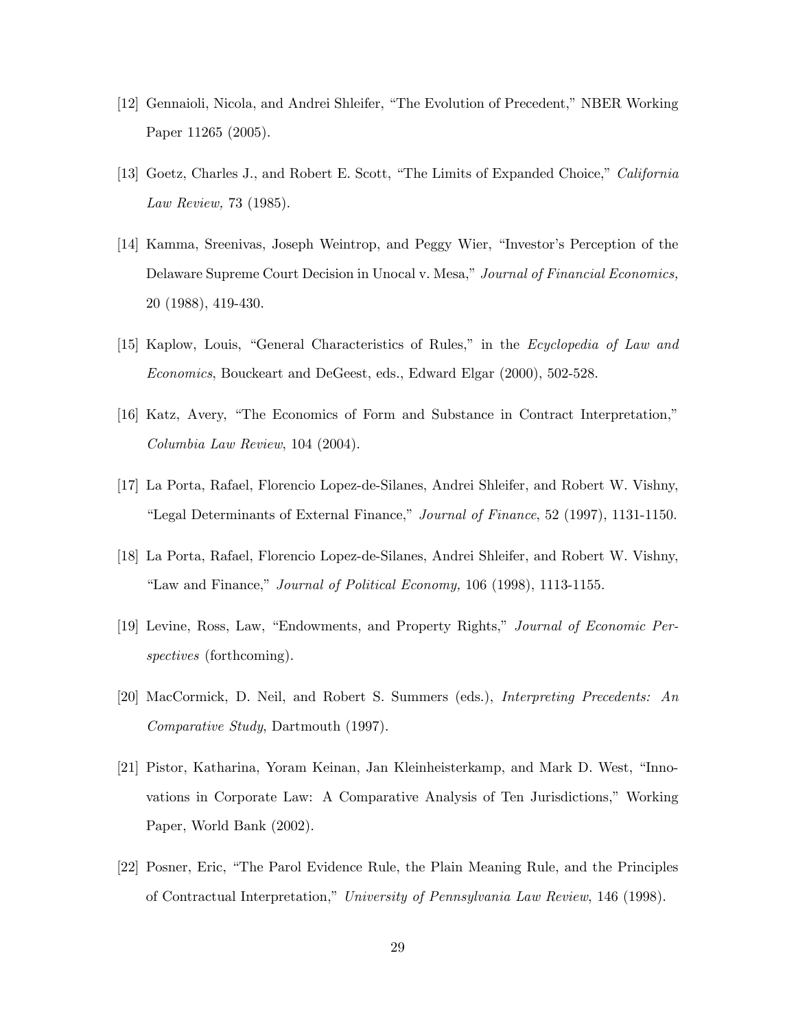- [12] Gennaioli, Nicola, and Andrei Shleifer, "The Evolution of Precedent," NBER Working Paper 11265 (2005).
- [13] Goetz, Charles J., and Robert E. Scott, "The Limits of Expanded Choice," California Law Review, 73 (1985).
- [14] Kamma, Sreenivas, Joseph Weintrop, and Peggy Wier, "Investor's Perception of the Delaware Supreme Court Decision in Unocal v. Mesa," Journal of Financial Economics, 20 (1988), 419-430.
- [15] Kaplow, Louis, "General Characteristics of Rules," in the *Ecyclopedia of Law and* Economics, Bouckeart and DeGeest, eds., Edward Elgar (2000), 502-528.
- [16] Katz, Avery, "The Economics of Form and Substance in Contract Interpretation," Columbia Law Review, 104 (2004).
- [17] La Porta, Rafael, Florencio Lopez-de-Silanes, Andrei Shleifer, and Robert W. Vishny, "Legal Determinants of External Finance," Journal of Finance, 52 (1997), 1131-1150.
- [18] La Porta, Rafael, Florencio Lopez-de-Silanes, Andrei Shleifer, and Robert W. Vishny, "Law and Finance," Journal of Political Economy, 106 (1998), 1113-1155.
- [19] Levine, Ross, Law, "Endowments, and Property Rights," Journal of Economic Perspectives (forthcoming).
- [20] MacCormick, D. Neil, and Robert S. Summers (eds.), Interpreting Precedents: An Comparative Study, Dartmouth (1997).
- [21] Pistor, Katharina, Yoram Keinan, Jan Kleinheisterkamp, and Mark D. West, "Innovations in Corporate Law: A Comparative Analysis of Ten Jurisdictions," Working Paper, World Bank (2002).
- [22] Posner, Eric, "The Parol Evidence Rule, the Plain Meaning Rule, and the Principles of Contractual Interpretation," University of Pennsylvania Law Review, 146 (1998).